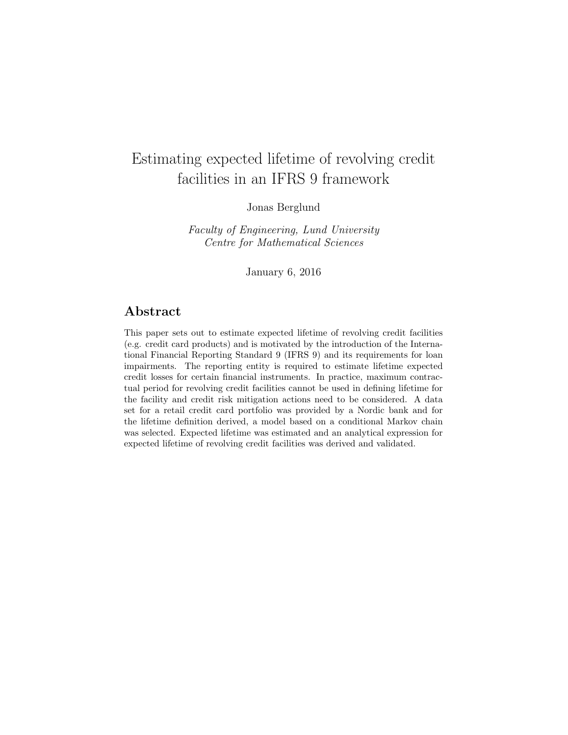# Estimating expected lifetime of revolving credit facilities in an IFRS 9 framework

Jonas Berglund

Faculty of Engineering, Lund University Centre for Mathematical Sciences

January 6, 2016

## Abstract

This paper sets out to estimate expected lifetime of revolving credit facilities (e.g. credit card products) and is motivated by the introduction of the International Financial Reporting Standard 9 (IFRS 9) and its requirements for loan impairments. The reporting entity is required to estimate lifetime expected credit losses for certain financial instruments. In practice, maximum contractual period for revolving credit facilities cannot be used in defining lifetime for the facility and credit risk mitigation actions need to be considered. A data set for a retail credit card portfolio was provided by a Nordic bank and for the lifetime definition derived, a model based on a conditional Markov chain was selected. Expected lifetime was estimated and an analytical expression for expected lifetime of revolving credit facilities was derived and validated.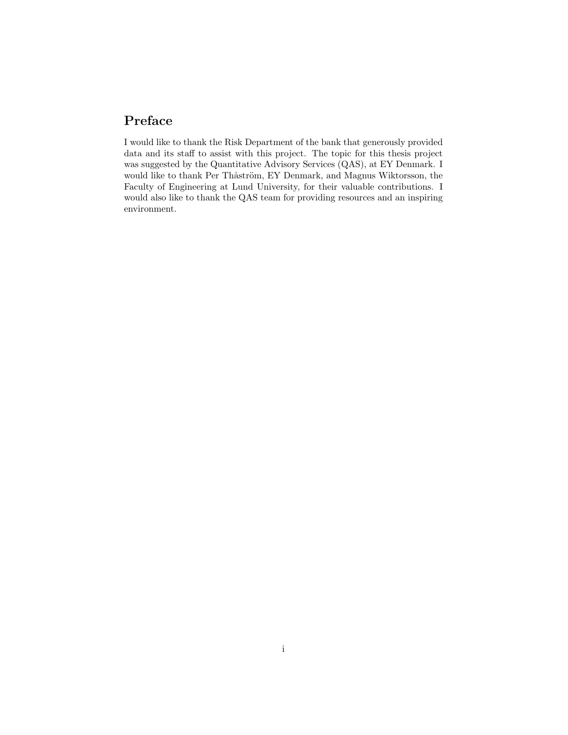# Preface

I would like to thank the Risk Department of the bank that generously provided data and its staff to assist with this project. The topic for this thesis project was suggested by the Quantitative Advisory Services (QAS), at EY Denmark. I would like to thank Per Thåström, EY Denmark, and Magnus Wiktorsson, the Faculty of Engineering at Lund University, for their valuable contributions. I would also like to thank the QAS team for providing resources and an inspiring environment.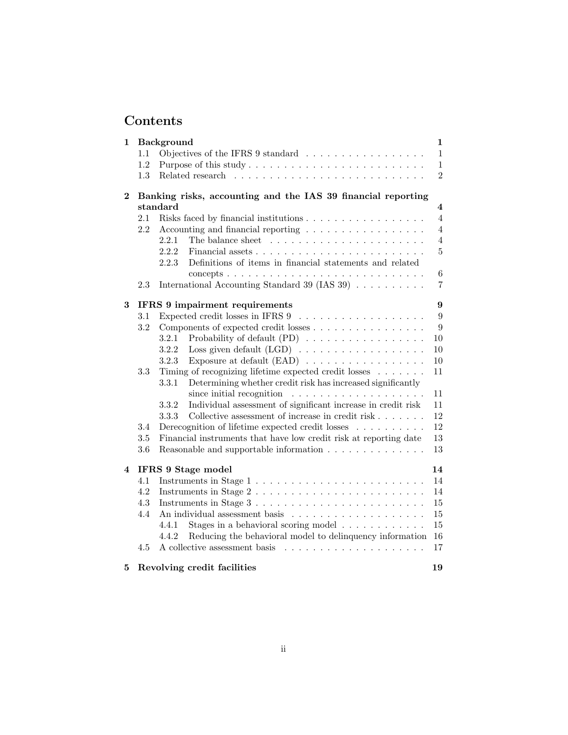# Contents

| $\mathbf 1$             |     | <b>Background</b>                                                                                                                           | $\mathbf{1}$            |
|-------------------------|-----|---------------------------------------------------------------------------------------------------------------------------------------------|-------------------------|
|                         | 1.1 | Objectives of the IFRS 9 standard $\ldots \ldots \ldots \ldots \ldots$                                                                      | $\mathbf{1}$            |
|                         | 1.2 |                                                                                                                                             | $\mathbf{1}$            |
|                         | 1.3 |                                                                                                                                             | $\overline{2}$          |
| $\bf{2}$                |     | Banking risks, accounting and the IAS 39 financial reporting                                                                                |                         |
|                         |     | standard                                                                                                                                    | $\overline{\mathbf{4}}$ |
|                         | 2.1 |                                                                                                                                             | $\overline{4}$          |
|                         | 2.2 | Accounting and financial reporting $\dots \dots \dots \dots \dots \dots$                                                                    | $\overline{4}$          |
|                         |     | 2.2.1                                                                                                                                       | 4                       |
|                         |     | 2.2.2                                                                                                                                       | $\overline{5}$          |
|                         |     | Definitions of items in financial statements and related<br>2.2.3                                                                           |                         |
|                         |     | concepts $\ldots \ldots \ldots \ldots \ldots \ldots \ldots \ldots \ldots \ldots \ldots$                                                     | $\,6\,$                 |
|                         | 2.3 | International Accounting Standard 39 (IAS 39) $\ldots \ldots \ldots$                                                                        | $\overline{7}$          |
| 3                       |     | IFRS 9 impairment requirements                                                                                                              | 9                       |
|                         | 3.1 |                                                                                                                                             | $9\phantom{.}$          |
|                         | 3.2 | Components of expected credit losses                                                                                                        | 9                       |
|                         |     | Probability of default (PD) $\ldots \ldots \ldots \ldots \ldots \ldots$<br>3.2.1                                                            | 10                      |
|                         |     | 3.2.2                                                                                                                                       | 10                      |
|                         |     | Exposure at default (EAD) $\ldots \ldots \ldots \ldots \ldots \ldots$<br>3.2.3                                                              | $10\,$                  |
|                         | 3.3 | Timing of recognizing lifetime expected credit losses $\dots \dots$<br>Determining whether credit risk has increased significantly<br>3.3.1 | 11                      |
|                         |     | since initial recognition $\ldots \ldots \ldots \ldots \ldots \ldots$                                                                       | 11                      |
|                         |     | Individual assessment of significant increase in credit risk<br>3.3.2                                                                       | 11                      |
|                         |     | Collective assessment of increase in credit risk<br>3.3.3                                                                                   | 12                      |
|                         | 3.4 | Derecognition of lifetime expected credit losses                                                                                            | 12                      |
|                         | 3.5 | Financial instruments that have low credit risk at reporting date                                                                           | 13                      |
|                         | 3.6 | Reasonable and supportable information $\ldots \ldots \ldots \ldots$                                                                        | 13                      |
| $\overline{\mathbf{4}}$ |     | IFRS 9 Stage model                                                                                                                          | 14                      |
|                         | 4.1 |                                                                                                                                             | 14                      |
|                         | 4.2 | Instruments in Stage $2 \ldots \ldots \ldots \ldots \ldots \ldots \ldots \ldots$                                                            | 14                      |
|                         | 4.3 | Instruments in Stage 3                                                                                                                      | 15                      |
|                         | 4.4 |                                                                                                                                             | 15                      |
|                         |     | Stages in a behavioral scoring model<br>4.4.1                                                                                               | 15                      |
|                         |     | Reducing the behavioral model to delinquency information<br>4.4.2                                                                           | 16                      |
|                         | 4.5 |                                                                                                                                             | 17                      |
| 5                       |     | Revolving credit facilities                                                                                                                 | 19                      |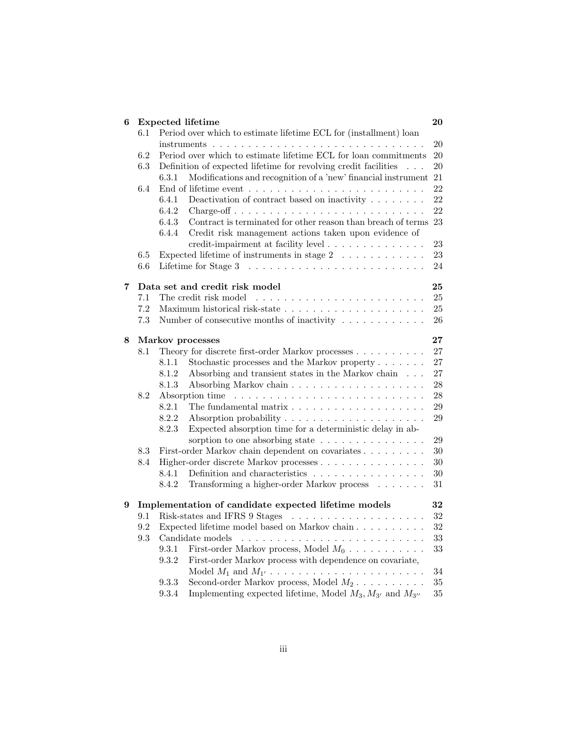| 6 |         | <b>Expected lifetime</b>                                                                    | 20                |
|---|---------|---------------------------------------------------------------------------------------------|-------------------|
|   | 6.1     | Period over which to estimate lifetime ECL for (installment) loan                           |                   |
|   |         | $instruments \ldots \ldots \ldots \ldots \ldots \ldots \ldots \ldots \ldots \ldots \ldots$  | 20                |
|   | 6.2     | Period over which to estimate lifetime ECL for loan commitments                             | 20                |
|   | 6.3     | Definition of expected lifetime for revolving credit facilities                             | 20                |
|   |         | Modifications and recognition of a 'new' financial instrument<br>6.3.1                      | 21                |
|   | 6.4     |                                                                                             | 22                |
|   |         | Deactivation of contract based on inactivity $\ldots \ldots$<br>6.4.1                       | 22                |
|   |         | 6.4.2<br>$\text{Change-off} \ldots \ldots \ldots \ldots \ldots \ldots \ldots \ldots \ldots$ | 22                |
|   |         | Contract is terminated for other reason than breach of terms<br>6.4.3                       | 23                |
|   |         | 6.4.4<br>Credit risk management actions taken upon evidence of                              |                   |
|   |         | credit-impairment at facility level                                                         | 23                |
|   | $6.5\,$ | Expected lifetime of instruments in stage $2 \ldots \ldots \ldots$                          | 23                |
|   | 6.6     | Lifetime for Stage $3 \ldots \ldots \ldots \ldots \ldots \ldots \ldots \ldots$              | 24                |
| 7 |         | Data set and credit risk model                                                              | 25                |
|   | 7.1     | The credit risk model                                                                       | 25                |
|   | 7.2     |                                                                                             | 25                |
|   | 7.3     | Number of consecutive months of inactivity $\dots \dots \dots \dots$                        | 26                |
|   |         |                                                                                             |                   |
| 8 |         | Markov processes                                                                            | $27\,$            |
|   | 8.1     | Theory for discrete first-order Markov processes                                            | 27                |
|   |         | Stochastic processes and the Markov property $\dots \dots$<br>8.1.1                         | 27                |
|   |         | Absorbing and transient states in the Markov chain<br>8.1.2                                 | 27                |
|   |         | 8.1.3                                                                                       | 28                |
|   | 8.2     |                                                                                             | $\ensuremath{28}$ |
|   |         | 8.2.1                                                                                       | 29                |
|   |         | 8.2.2<br>Absorption probability $\dots \dots \dots \dots \dots \dots \dots$                 | 29                |
|   |         | 8.2.3<br>Expected absorption time for a deterministic delay in ab-                          |                   |
|   |         | sorption to one absorbing state $\ldots \ldots \ldots \ldots \ldots$                        | 29                |
|   | 8.3     | First-order Markov chain dependent on covariates                                            | 30                |
|   | 8.4     | Higher-order discrete Markov processes                                                      | 30                |
|   |         | Definition and characteristics $\ldots \ldots \ldots \ldots \ldots$<br>8.4.1                | 30                |
|   |         | 8.4.2<br>Transforming a higher-order Markov process                                         | 31                |
| 9 |         | Implementation of candidate expected lifetime models                                        | 32                |
|   | 9.1     |                                                                                             | 32                |
|   | 9.2     | Expected lifetime model based on Markov chain $\ldots \ldots \ldots$                        | 32                |
|   | 9.3     | Candidate models                                                                            | $33\,$            |
|   |         | First-order Markov process, Model $M_0$<br>9.3.1                                            | 33                |
|   |         | 9.3.2<br>First-order Markov process with dependence on covariate,                           |                   |
|   |         |                                                                                             | 34                |
|   |         | Second-order Markov process, Model $M_2$<br>9.3.3                                           | 35                |
|   |         | Implementing expected lifetime, Model $M_3, M_{3'}$ and $M_{3''}$<br>9.3.4                  | 35                |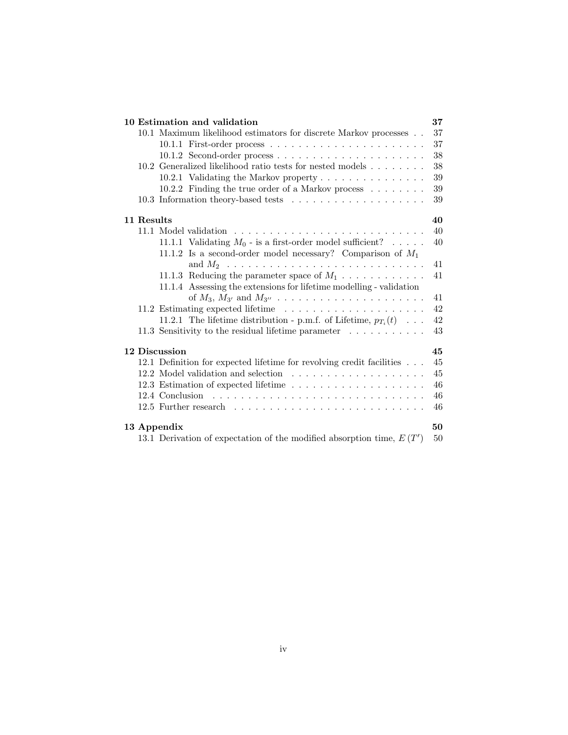| 10 Estimation and validation                                            | 37     |
|-------------------------------------------------------------------------|--------|
| 10.1 Maximum likelihood estimators for discrete Markov processes        | 37     |
|                                                                         | 37     |
|                                                                         | 38     |
| 10.2 Generalized likelihood ratio tests for nested models               | 38     |
| 10.2.1 Validating the Markov property                                   | 39     |
| 10.2.2 Finding the true order of a Markov process                       | $39\,$ |
|                                                                         | 39     |
| 11 Results                                                              | 40     |
|                                                                         | 40     |
| 11.1.1 Validating $M_0$ - is a first-order model sufficient?            | 40     |
| 11.1.2 Is a second-order model necessary? Comparison of $M_1$           |        |
| and $M_2$                                                               | 41     |
| 11.1.3 Reducing the parameter space of $M_1$                            | 41     |
| 11.1.4 Assessing the extensions for lifetime modelling - validation     |        |
|                                                                         | 41     |
|                                                                         | 42     |
| 11.2.1 The lifetime distribution - p.m.f. of Lifetime, $p_{T_i}(t)$     | 42     |
| 11.3 Sensitivity to the residual lifetime parameter $\dots \dots \dots$ | 43     |
| 12 Discussion                                                           | 45     |
| 12.1 Definition for expected lifetime for revolving credit facilities   | 45     |
|                                                                         | 45     |
|                                                                         | 46     |
| 12.4 Conclusion                                                         | 46     |
|                                                                         | 46     |
| 13 Appendix                                                             | 50     |
| 13.1 Derivation of expectation of the modified absorption time, $E(T')$ | 50     |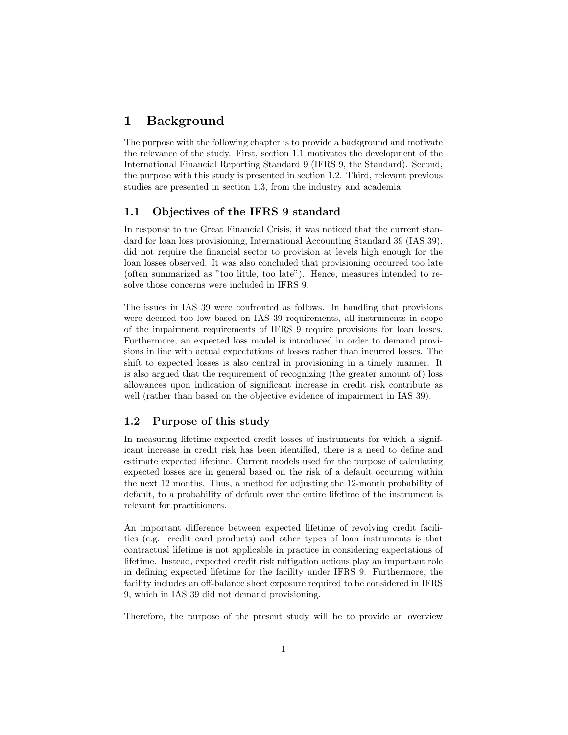## 1 Background

The purpose with the following chapter is to provide a background and motivate the relevance of the study. First, section 1.1 motivates the development of the International Financial Reporting Standard 9 (IFRS 9, the Standard). Second, the purpose with this study is presented in section 1.2. Third, relevant previous studies are presented in section 1.3, from the industry and academia.

#### 1.1 Objectives of the IFRS 9 standard

In response to the Great Financial Crisis, it was noticed that the current standard for loan loss provisioning, International Accounting Standard 39 (IAS 39), did not require the financial sector to provision at levels high enough for the loan losses observed. It was also concluded that provisioning occurred too late (often summarized as "too little, too late"). Hence, measures intended to resolve those concerns were included in IFRS 9.

The issues in IAS 39 were confronted as follows. In handling that provisions were deemed too low based on IAS 39 requirements, all instruments in scope of the impairment requirements of IFRS 9 require provisions for loan losses. Furthermore, an expected loss model is introduced in order to demand provisions in line with actual expectations of losses rather than incurred losses. The shift to expected losses is also central in provisioning in a timely manner. It is also argued that the requirement of recognizing (the greater amount of) loss allowances upon indication of significant increase in credit risk contribute as well (rather than based on the objective evidence of impairment in IAS 39).

#### 1.2 Purpose of this study

In measuring lifetime expected credit losses of instruments for which a significant increase in credit risk has been identified, there is a need to define and estimate expected lifetime. Current models used for the purpose of calculating expected losses are in general based on the risk of a default occurring within the next 12 months. Thus, a method for adjusting the 12-month probability of default, to a probability of default over the entire lifetime of the instrument is relevant for practitioners.

An important difference between expected lifetime of revolving credit facilities (e.g. credit card products) and other types of loan instruments is that contractual lifetime is not applicable in practice in considering expectations of lifetime. Instead, expected credit risk mitigation actions play an important role in defining expected lifetime for the facility under IFRS 9. Furthermore, the facility includes an off-balance sheet exposure required to be considered in IFRS 9, which in IAS 39 did not demand provisioning.

Therefore, the purpose of the present study will be to provide an overview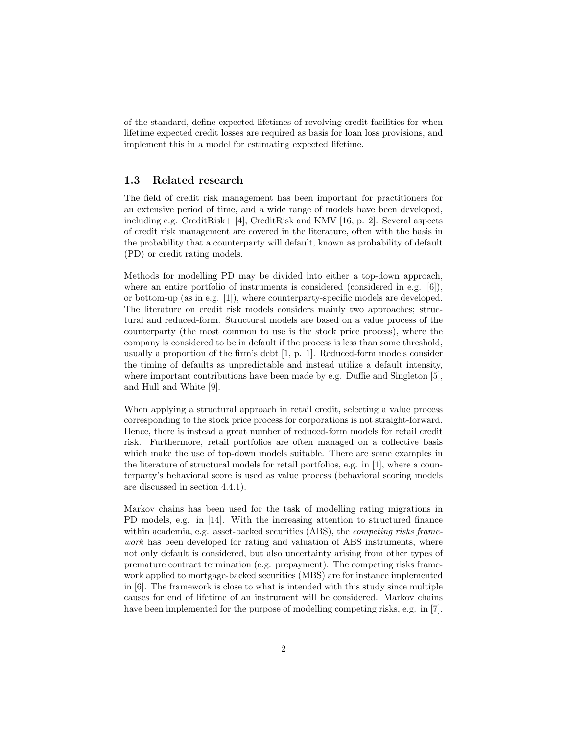of the standard, define expected lifetimes of revolving credit facilities for when lifetime expected credit losses are required as basis for loan loss provisions, and implement this in a model for estimating expected lifetime.

#### 1.3 Related research

The field of credit risk management has been important for practitioners for an extensive period of time, and a wide range of models have been developed, including e.g. CreditRisk $+$  [4], CreditRisk and KMV [16, p. 2]. Several aspects of credit risk management are covered in the literature, often with the basis in the probability that a counterparty will default, known as probability of default (PD) or credit rating models.

Methods for modelling PD may be divided into either a top-down approach, where an entire portfolio of instruments is considered (considered in e.g.  $[6]$ ), or bottom-up (as in e.g. [1]), where counterparty-specific models are developed. The literature on credit risk models considers mainly two approaches; structural and reduced-form. Structural models are based on a value process of the counterparty (the most common to use is the stock price process), where the company is considered to be in default if the process is less than some threshold, usually a proportion of the firm's debt [1, p. 1]. Reduced-form models consider the timing of defaults as unpredictable and instead utilize a default intensity, where important contributions have been made by e.g. Duffie and Singleton [5], and Hull and White [9].

When applying a structural approach in retail credit, selecting a value process corresponding to the stock price process for corporations is not straight-forward. Hence, there is instead a great number of reduced-form models for retail credit risk. Furthermore, retail portfolios are often managed on a collective basis which make the use of top-down models suitable. There are some examples in the literature of structural models for retail portfolios, e.g. in [1], where a counterparty's behavioral score is used as value process (behavioral scoring models are discussed in section 4.4.1).

Markov chains has been used for the task of modelling rating migrations in PD models, e.g. in [14]. With the increasing attention to structured finance within academia, e.g. asset-backed securities (ABS), the *competing risks frame*work has been developed for rating and valuation of ABS instruments, where not only default is considered, but also uncertainty arising from other types of premature contract termination (e.g. prepayment). The competing risks framework applied to mortgage-backed securities (MBS) are for instance implemented in [6]. The framework is close to what is intended with this study since multiple causes for end of lifetime of an instrument will be considered. Markov chains have been implemented for the purpose of modelling competing risks, e.g. in [7].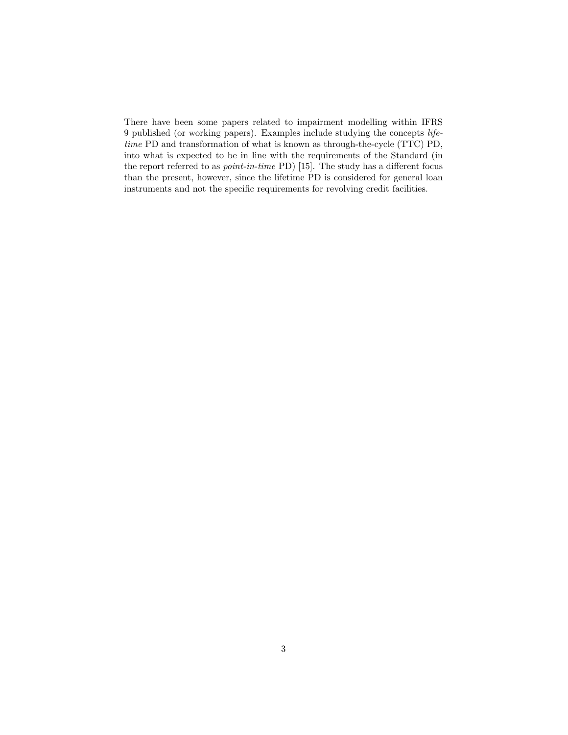There have been some papers related to impairment modelling within IFRS 9 published (or working papers). Examples include studying the concepts lifetime PD and transformation of what is known as through-the-cycle (TTC) PD, into what is expected to be in line with the requirements of the Standard (in the report referred to as point-in-time PD) [15]. The study has a different focus than the present, however, since the lifetime PD is considered for general loan instruments and not the specific requirements for revolving credit facilities.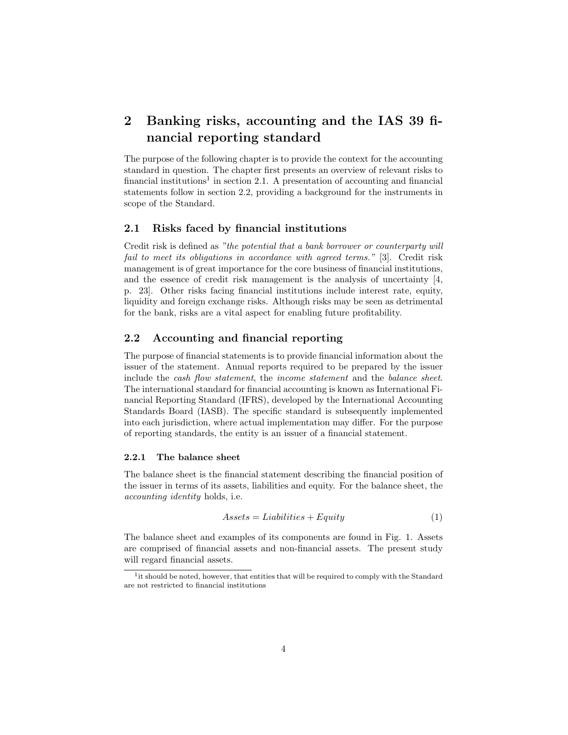## 2 Banking risks, accounting and the IAS 39 financial reporting standard

The purpose of the following chapter is to provide the context for the accounting standard in question. The chapter first presents an overview of relevant risks to financial institutions<sup>1</sup> in section 2.1. A presentation of accounting and financial statements follow in section 2.2, providing a background for the instruments in scope of the Standard.

## 2.1 Risks faced by financial institutions

Credit risk is defined as "the potential that a bank borrower or counterparty will fail to meet its obligations in accordance with agreed terms." [3]. Credit risk management is of great importance for the core business of financial institutions, and the essence of credit risk management is the analysis of uncertainty [4, p. 23]. Other risks facing financial institutions include interest rate, equity, liquidity and foreign exchange risks. Although risks may be seen as detrimental for the bank, risks are a vital aspect for enabling future profitability.

#### 2.2 Accounting and financial reporting

The purpose of financial statements is to provide financial information about the issuer of the statement. Annual reports required to be prepared by the issuer include the cash flow statement, the income statement and the balance sheet. The international standard for financial accounting is known as International Financial Reporting Standard (IFRS), developed by the International Accounting Standards Board (IASB). The specific standard is subsequently implemented into each jurisdiction, where actual implementation may differ. For the purpose of reporting standards, the entity is an issuer of a financial statement.

#### 2.2.1 The balance sheet

The balance sheet is the financial statement describing the financial position of the issuer in terms of its assets, liabilities and equity. For the balance sheet, the accounting identity holds, i.e.

$$
Assets = Liabilities + Equity \tag{1}
$$

The balance sheet and examples of its components are found in Fig. 1. Assets are comprised of financial assets and non-financial assets. The present study will regard financial assets.

<sup>&</sup>lt;sup>1</sup>it should be noted, however, that entities that will be required to comply with the Standard are not restricted to financial institutions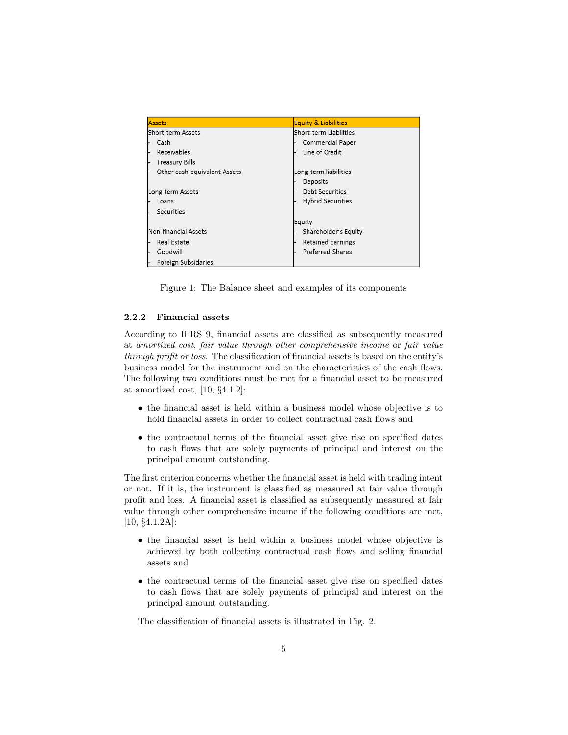| <b>Assets</b>                | <b>Equity &amp; Liabilities</b> |
|------------------------------|---------------------------------|
| Short-term Assets            | Short-term Liabilities          |
| Cash                         | <b>Commercial Paper</b>         |
| Receivables                  | Line of Credit                  |
| <b>Treasury Bills</b>        |                                 |
| Other cash-equivalent Assets | Long-term liabilities           |
|                              | Deposits                        |
| Long-term Assets             | <b>Debt Securities</b>          |
| Loans                        | <b>Hybrid Securities</b>        |
| Securities                   |                                 |
|                              | <b>Equity</b>                   |
| Non-financial Assets         | Shareholder's Equity            |
| <b>Real Estate</b>           | <b>Retained Earnings</b>        |
| Goodwill                     | <b>Preferred Shares</b>         |
| <b>Foreign Subsidaries</b>   |                                 |

Figure 1: The Balance sheet and examples of its components

#### 2.2.2 Financial assets

According to IFRS 9, financial assets are classified as subsequently measured at amortized cost, fair value through other comprehensive income or fair value through profit or loss. The classification of financial assets is based on the entity's business model for the instrument and on the characteristics of the cash flows. The following two conditions must be met for a financial asset to be measured at amortized cost, [10, §4.1.2]:

- the financial asset is held within a business model whose objective is to hold financial assets in order to collect contractual cash flows and
- the contractual terms of the financial asset give rise on specified dates to cash flows that are solely payments of principal and interest on the principal amount outstanding.

The first criterion concerns whether the financial asset is held with trading intent or not. If it is, the instrument is classified as measured at fair value through profit and loss. A financial asset is classified as subsequently measured at fair value through other comprehensive income if the following conditions are met, [10, §4.1.2A]:

- the financial asset is held within a business model whose objective is achieved by both collecting contractual cash flows and selling financial assets and
- the contractual terms of the financial asset give rise on specified dates to cash flows that are solely payments of principal and interest on the principal amount outstanding.

The classification of financial assets is illustrated in Fig. 2.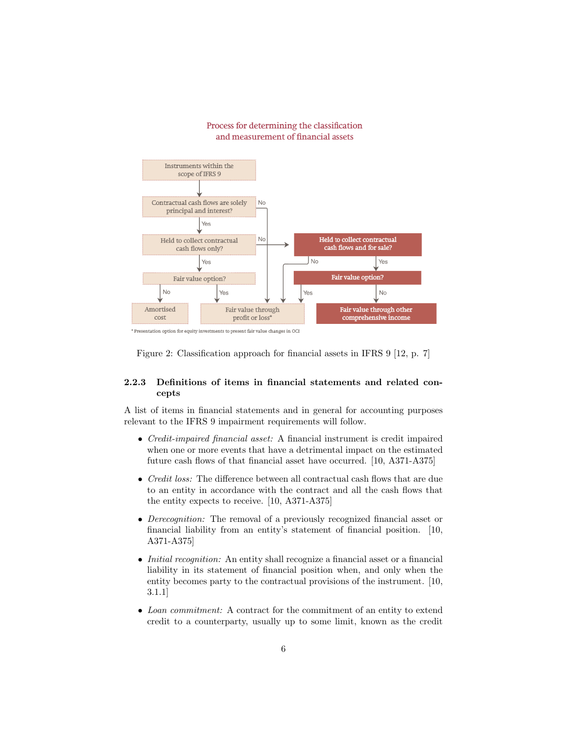

#### Process for determining the classification and measurement of financial assets

\* Presentation option for equity investments to present fair value changes in OCI

Figure 2: Classification approach for financial assets in IFRS 9 [12, p. 7]

#### 2.2.3 Definitions of items in financial statements and related concepts

A list of items in financial statements and in general for accounting purposes relevant to the IFRS 9 impairment requirements will follow.

- Credit-impaired financial asset: A financial instrument is credit impaired when one or more events that have a detrimental impact on the estimated future cash flows of that financial asset have occurred. [10, A371-A375]
- *Credit loss:* The difference between all contractual cash flows that are due to an entity in accordance with the contract and all the cash flows that the entity expects to receive. [10, A371-A375]
- Derecognition: The removal of a previously recognized financial asset or financial liability from an entity's statement of financial position. [10, A371-A375]
- *Initial recognition:* An entity shall recognize a financial asset or a financial liability in its statement of financial position when, and only when the entity becomes party to the contractual provisions of the instrument. [10, 3.1.1]
- Loan commitment: A contract for the commitment of an entity to extend credit to a counterparty, usually up to some limit, known as the credit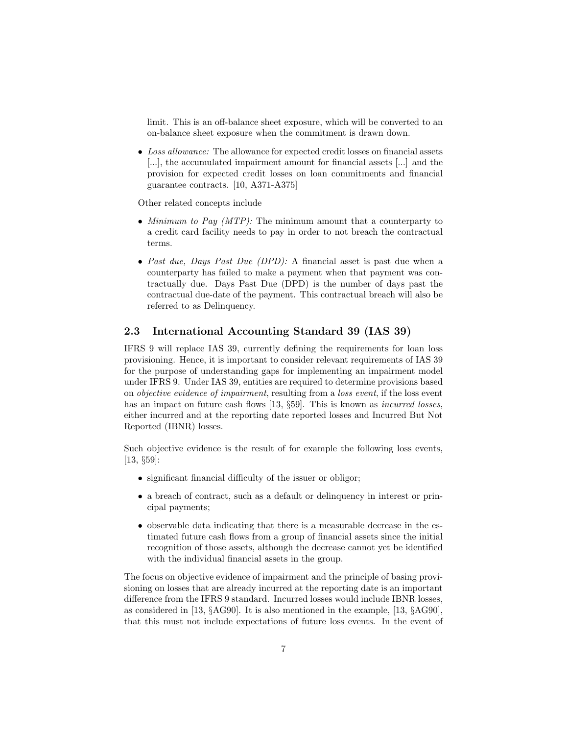limit. This is an off-balance sheet exposure, which will be converted to an on-balance sheet exposure when the commitment is drawn down.

• Loss allowance: The allowance for expected credit losses on financial assets [...], the accumulated impairment amount for financial assets [...] and the provision for expected credit losses on loan commitments and financial guarantee contracts. [10, A371-A375]

Other related concepts include

- Minimum to Pay  $(MTP)$ : The minimum amount that a counterparty to a credit card facility needs to pay in order to not breach the contractual terms.
- Past due, Days Past Due (DPD): A financial asset is past due when a counterparty has failed to make a payment when that payment was contractually due. Days Past Due (DPD) is the number of days past the contractual due-date of the payment. This contractual breach will also be referred to as Delinquency.

## 2.3 International Accounting Standard 39 (IAS 39)

IFRS 9 will replace IAS 39, currently defining the requirements for loan loss provisioning. Hence, it is important to consider relevant requirements of IAS 39 for the purpose of understanding gaps for implementing an impairment model under IFRS 9. Under IAS 39, entities are required to determine provisions based on objective evidence of impairment, resulting from a loss event, if the loss event has an impact on future cash flows [13, §59]. This is known as *incurred losses*, either incurred and at the reporting date reported losses and Incurred But Not Reported (IBNR) losses.

Such objective evidence is the result of for example the following loss events, [13, §59]:

- significant financial difficulty of the issuer or obligor;
- a breach of contract, such as a default or delinquency in interest or principal payments;
- observable data indicating that there is a measurable decrease in the estimated future cash flows from a group of financial assets since the initial recognition of those assets, although the decrease cannot yet be identified with the individual financial assets in the group.

The focus on objective evidence of impairment and the principle of basing provisioning on losses that are already incurred at the reporting date is an important difference from the IFRS 9 standard. Incurred losses would include IBNR losses, as considered in [13, §AG90]. It is also mentioned in the example, [13, §AG90], that this must not include expectations of future loss events. In the event of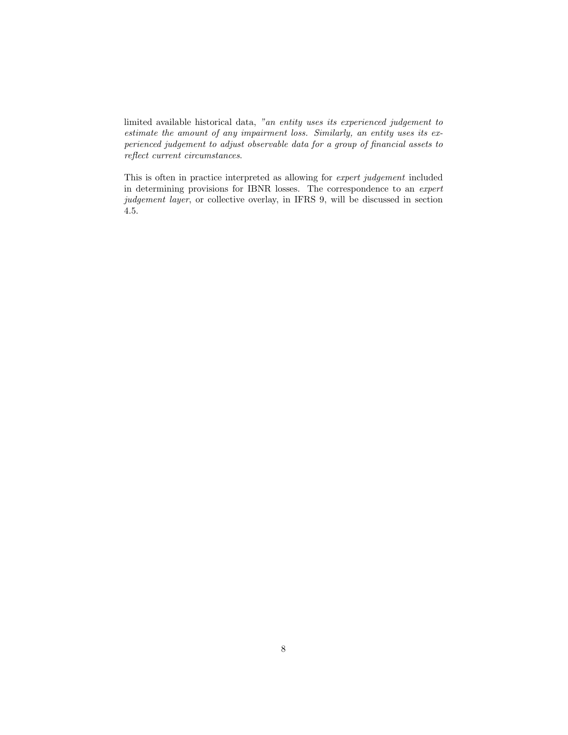limited available historical data, "an entity uses its experienced judgement to estimate the amount of any impairment loss. Similarly, an entity uses its experienced judgement to adjust observable data for a group of financial assets to reflect current circumstances.

This is often in practice interpreted as allowing for expert judgement included in determining provisions for IBNR losses. The correspondence to an expert judgement layer, or collective overlay, in IFRS 9, will be discussed in section 4.5.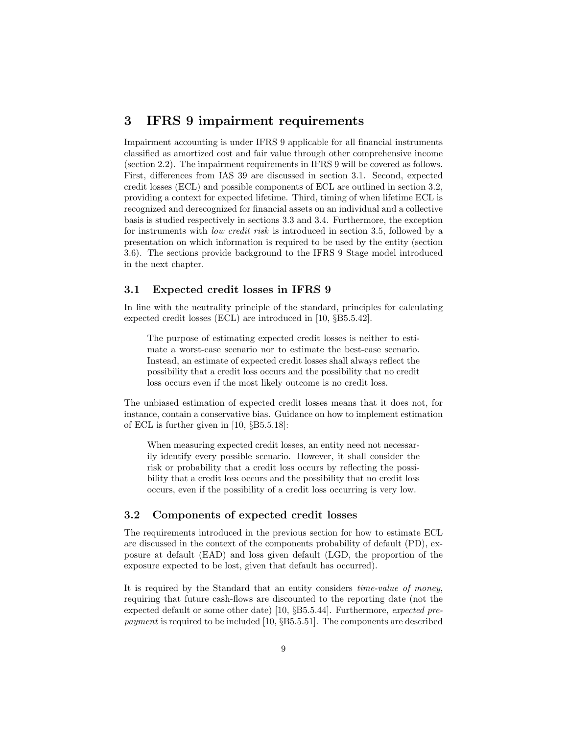## 3 IFRS 9 impairment requirements

Impairment accounting is under IFRS 9 applicable for all financial instruments classified as amortized cost and fair value through other comprehensive income (section 2.2). The impairment requirements in IFRS 9 will be covered as follows. First, differences from IAS 39 are discussed in section 3.1. Second, expected credit losses (ECL) and possible components of ECL are outlined in section 3.2, providing a context for expected lifetime. Third, timing of when lifetime ECL is recognized and derecognized for financial assets on an individual and a collective basis is studied respectively in sections 3.3 and 3.4. Furthermore, the exception for instruments with low credit risk is introduced in section 3.5, followed by a presentation on which information is required to be used by the entity (section 3.6). The sections provide background to the IFRS 9 Stage model introduced in the next chapter.

#### 3.1 Expected credit losses in IFRS 9

In line with the neutrality principle of the standard, principles for calculating expected credit losses (ECL) are introduced in [10, §B5.5.42].

The purpose of estimating expected credit losses is neither to estimate a worst-case scenario nor to estimate the best-case scenario. Instead, an estimate of expected credit losses shall always reflect the possibility that a credit loss occurs and the possibility that no credit loss occurs even if the most likely outcome is no credit loss.

The unbiased estimation of expected credit losses means that it does not, for instance, contain a conservative bias. Guidance on how to implement estimation of ECL is further given in [10, §B5.5.18]:

When measuring expected credit losses, an entity need not necessarily identify every possible scenario. However, it shall consider the risk or probability that a credit loss occurs by reflecting the possibility that a credit loss occurs and the possibility that no credit loss occurs, even if the possibility of a credit loss occurring is very low.

## 3.2 Components of expected credit losses

The requirements introduced in the previous section for how to estimate ECL are discussed in the context of the components probability of default (PD), exposure at default (EAD) and loss given default (LGD, the proportion of the exposure expected to be lost, given that default has occurred).

It is required by the Standard that an entity considers time-value of money, requiring that future cash-flows are discounted to the reporting date (not the expected default or some other date) [10, §B5.5.44]. Furthermore, expected prepayment is required to be included [10, §B5.5.51]. The components are described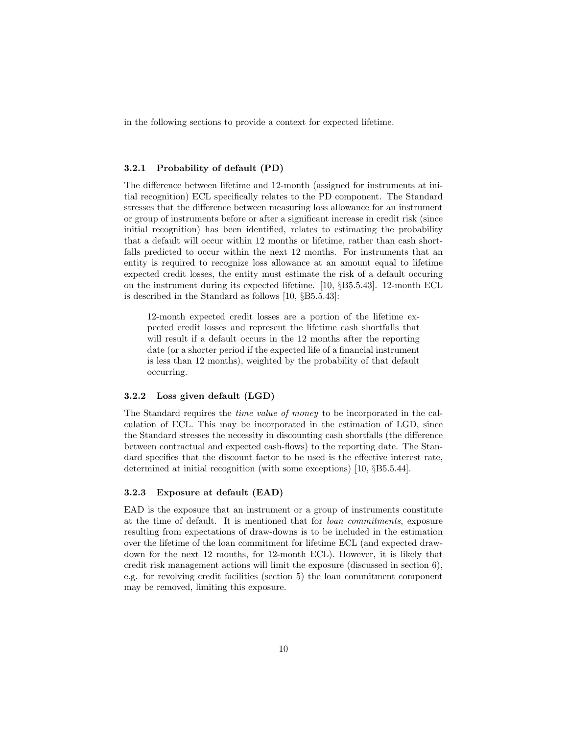in the following sections to provide a context for expected lifetime.

#### 3.2.1 Probability of default (PD)

The difference between lifetime and 12-month (assigned for instruments at initial recognition) ECL specifically relates to the PD component. The Standard stresses that the difference between measuring loss allowance for an instrument or group of instruments before or after a significant increase in credit risk (since initial recognition) has been identified, relates to estimating the probability that a default will occur within 12 months or lifetime, rather than cash shortfalls predicted to occur within the next 12 months. For instruments that an entity is required to recognize loss allowance at an amount equal to lifetime expected credit losses, the entity must estimate the risk of a default occuring on the instrument during its expected lifetime. [10, §B5.5.43]. 12-month ECL is described in the Standard as follows [10, §B5.5.43]:

12-month expected credit losses are a portion of the lifetime expected credit losses and represent the lifetime cash shortfalls that will result if a default occurs in the 12 months after the reporting date (or a shorter period if the expected life of a financial instrument is less than 12 months), weighted by the probability of that default occurring.

#### 3.2.2 Loss given default (LGD)

The Standard requires the time value of money to be incorporated in the calculation of ECL. This may be incorporated in the estimation of LGD, since the Standard stresses the necessity in discounting cash shortfalls (the difference between contractual and expected cash-flows) to the reporting date. The Standard specifies that the discount factor to be used is the effective interest rate, determined at initial recognition (with some exceptions) [10, §B5.5.44].

#### 3.2.3 Exposure at default (EAD)

EAD is the exposure that an instrument or a group of instruments constitute at the time of default. It is mentioned that for loan commitments, exposure resulting from expectations of draw-downs is to be included in the estimation over the lifetime of the loan commitment for lifetime ECL (and expected drawdown for the next 12 months, for 12-month ECL). However, it is likely that credit risk management actions will limit the exposure (discussed in section 6), e.g. for revolving credit facilities (section 5) the loan commitment component may be removed, limiting this exposure.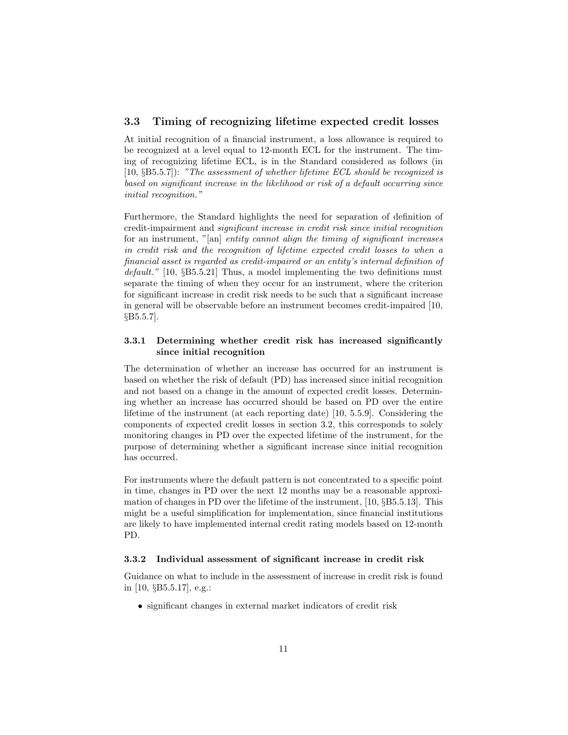#### 3.3 Timing of recognizing lifetime expected credit losses

At initial recognition of a financial instrument, a loss allowance is required to be recognized at a level equal to 12-month ECL for the instrument. The timing of recognizing lifetime ECL, is in the Standard considered as follows (in  $[10, \S B5.5.7]$ : "The assessment of whether lifetime ECL should be recognized is based on significant increase in the likelihood or risk of a default occurring since initial recognition."

Furthermore, the Standard highlights the need for separation of definition of credit-impairment and significant increase in credit risk since initial recognition for an instrument, "[an] entity cannot align the timing of significant increases in credit risk and the recognition of lifetime expected credit losses to when a financial asset is regarded as credit-impaired or an entity's internal definition of  $default."$  [10, §B5.5.21] Thus, a model implementing the two definitions must separate the timing of when they occur for an instrument, where the criterion for significant increase in credit risk needs to be such that a significant increase in general will be observable before an instrument becomes credit-impaired [10, §B5.5.7].

#### 3.3.1 Determining whether credit risk has increased significantly since initial recognition

The determination of whether an increase has occurred for an instrument is based on whether the risk of default (PD) has increased since initial recognition and not based on a change in the amount of expected credit losses. Determining whether an increase has occurred should be based on PD over the entire lifetime of the instrument (at each reporting date) [10, 5.5.9]. Considering the components of expected credit losses in section 3.2, this corresponds to solely monitoring changes in PD over the expected lifetime of the instrument, for the purpose of determining whether a significant increase since initial recognition has occurred.

For instruments where the default pattern is not concentrated to a specific point in time, changes in PD over the next 12 months may be a reasonable approximation of changes in PD over the lifetime of the instrument, [10, §B5.5.13]. This might be a useful simplification for implementation, since financial institutions are likely to have implemented internal credit rating models based on 12-month PD.

#### 3.3.2 Individual assessment of significant increase in credit risk

Guidance on what to include in the assessment of increase in credit risk is found in [10, §B5.5.17], e.g.:

• significant changes in external market indicators of credit risk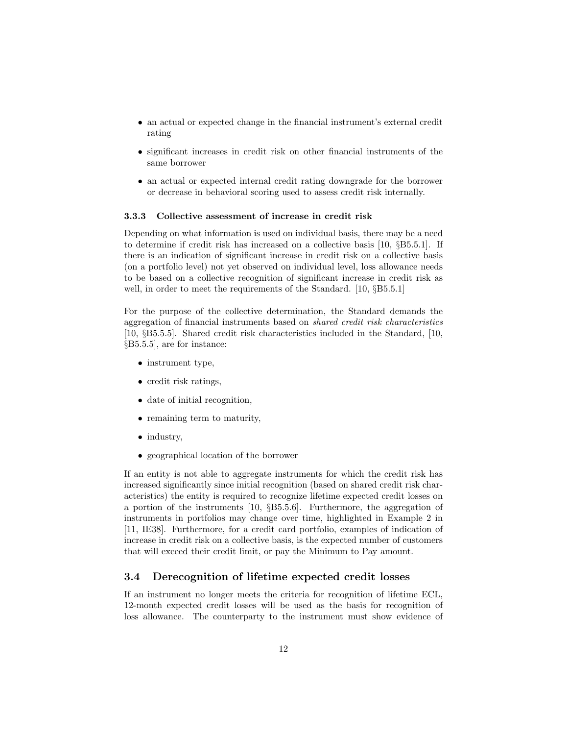- an actual or expected change in the financial instrument's external credit rating
- significant increases in credit risk on other financial instruments of the same borrower
- an actual or expected internal credit rating downgrade for the borrower or decrease in behavioral scoring used to assess credit risk internally.

#### 3.3.3 Collective assessment of increase in credit risk

Depending on what information is used on individual basis, there may be a need to determine if credit risk has increased on a collective basis [10, §B5.5.1]. If there is an indication of significant increase in credit risk on a collective basis (on a portfolio level) not yet observed on individual level, loss allowance needs to be based on a collective recognition of significant increase in credit risk as well, in order to meet the requirements of the Standard. [10, §B5.5.1]

For the purpose of the collective determination, the Standard demands the aggregation of financial instruments based on shared credit risk characteristics [10, §B5.5.5]. Shared credit risk characteristics included in the Standard, [10, §B5.5.5], are for instance:

- instrument type,
- credit risk ratings,
- date of initial recognition,
- remaining term to maturity,
- industry,
- geographical location of the borrower

If an entity is not able to aggregate instruments for which the credit risk has increased significantly since initial recognition (based on shared credit risk characteristics) the entity is required to recognize lifetime expected credit losses on a portion of the instruments [10, §B5.5.6]. Furthermore, the aggregation of instruments in portfolios may change over time, highlighted in Example 2 in [11, IE38]. Furthermore, for a credit card portfolio, examples of indication of increase in credit risk on a collective basis, is the expected number of customers that will exceed their credit limit, or pay the Minimum to Pay amount.

#### 3.4 Derecognition of lifetime expected credit losses

If an instrument no longer meets the criteria for recognition of lifetime ECL, 12-month expected credit losses will be used as the basis for recognition of loss allowance. The counterparty to the instrument must show evidence of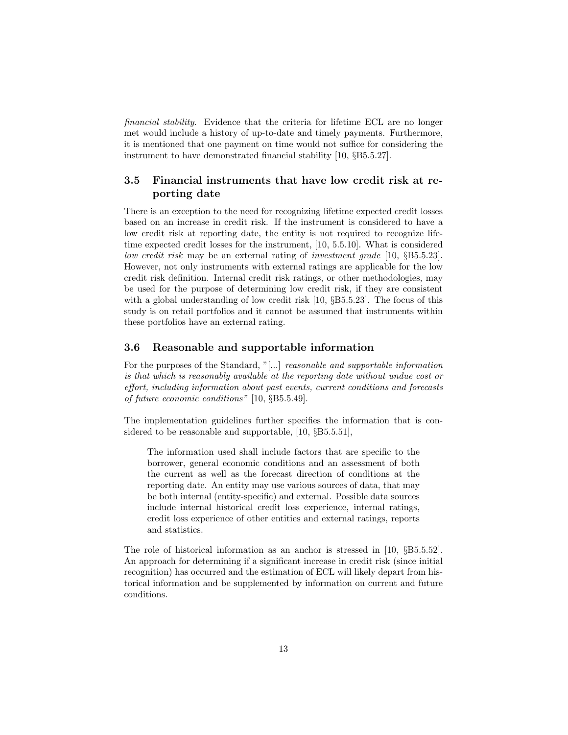financial stability. Evidence that the criteria for lifetime ECL are no longer met would include a history of up-to-date and timely payments. Furthermore, it is mentioned that one payment on time would not suffice for considering the instrument to have demonstrated financial stability [10, §B5.5.27].

## 3.5 Financial instruments that have low credit risk at reporting date

There is an exception to the need for recognizing lifetime expected credit losses based on an increase in credit risk. If the instrument is considered to have a low credit risk at reporting date, the entity is not required to recognize lifetime expected credit losses for the instrument, [10, 5.5.10]. What is considered low credit risk may be an external rating of investment grade [10, §B5.5.23]. However, not only instruments with external ratings are applicable for the low credit risk definition. Internal credit risk ratings, or other methodologies, may be used for the purpose of determining low credit risk, if they are consistent with a global understanding of low credit risk [10, §B5.5.23]. The focus of this study is on retail portfolios and it cannot be assumed that instruments within these portfolios have an external rating.

#### 3.6 Reasonable and supportable information

For the purposes of the Standard, "[...] reasonable and supportable information is that which is reasonably available at the reporting date without undue cost or effort, including information about past events, current conditions and forecasts of future economic conditions" [10, §B5.5.49].

The implementation guidelines further specifies the information that is considered to be reasonable and supportable, [10, §B5.5.51],

The information used shall include factors that are specific to the borrower, general economic conditions and an assessment of both the current as well as the forecast direction of conditions at the reporting date. An entity may use various sources of data, that may be both internal (entity-specific) and external. Possible data sources include internal historical credit loss experience, internal ratings, credit loss experience of other entities and external ratings, reports and statistics.

The role of historical information as an anchor is stressed in [10, §B5.5.52]. An approach for determining if a significant increase in credit risk (since initial recognition) has occurred and the estimation of ECL will likely depart from historical information and be supplemented by information on current and future conditions.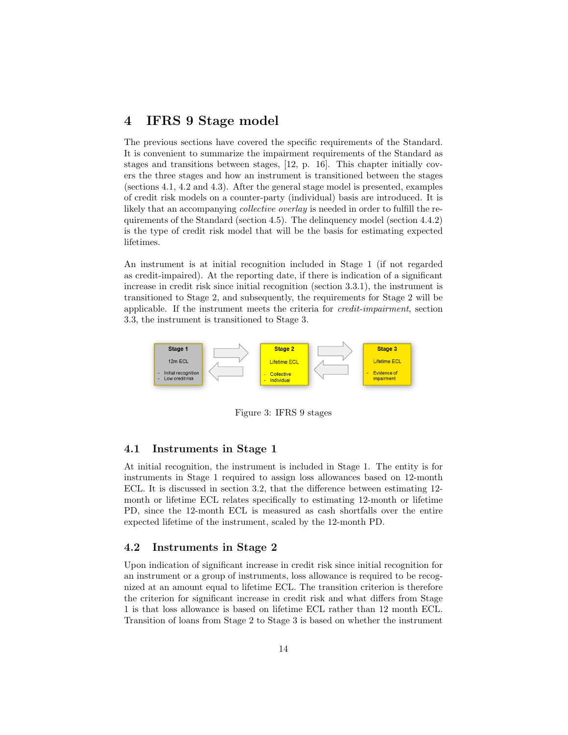## 4 IFRS 9 Stage model

The previous sections have covered the specific requirements of the Standard. It is convenient to summarize the impairment requirements of the Standard as stages and transitions between stages, [12, p. 16]. This chapter initially covers the three stages and how an instrument is transitioned between the stages (sections 4.1, 4.2 and 4.3). After the general stage model is presented, examples of credit risk models on a counter-party (individual) basis are introduced. It is likely that an accompanying *collective overlay* is needed in order to fulfill the requirements of the Standard (section 4.5). The delinquency model (section 4.4.2) is the type of credit risk model that will be the basis for estimating expected lifetimes.

An instrument is at initial recognition included in Stage 1 (if not regarded as credit-impaired). At the reporting date, if there is indication of a significant increase in credit risk since initial recognition (section 3.3.1), the instrument is transitioned to Stage 2, and subsequently, the requirements for Stage 2 will be applicable. If the instrument meets the criteria for credit-impairment, section 3.3, the instrument is transitioned to Stage 3.



Figure 3: IFRS 9 stages

#### 4.1 Instruments in Stage 1

At initial recognition, the instrument is included in Stage 1. The entity is for instruments in Stage 1 required to assign loss allowances based on 12-month ECL. It is discussed in section 3.2, that the difference between estimating 12 month or lifetime ECL relates specifically to estimating 12-month or lifetime PD, since the 12-month ECL is measured as cash shortfalls over the entire expected lifetime of the instrument, scaled by the 12-month PD.

#### 4.2 Instruments in Stage 2

Upon indication of significant increase in credit risk since initial recognition for an instrument or a group of instruments, loss allowance is required to be recognized at an amount equal to lifetime ECL. The transition criterion is therefore the criterion for significant increase in credit risk and what differs from Stage 1 is that loss allowance is based on lifetime ECL rather than 12 month ECL. Transition of loans from Stage 2 to Stage 3 is based on whether the instrument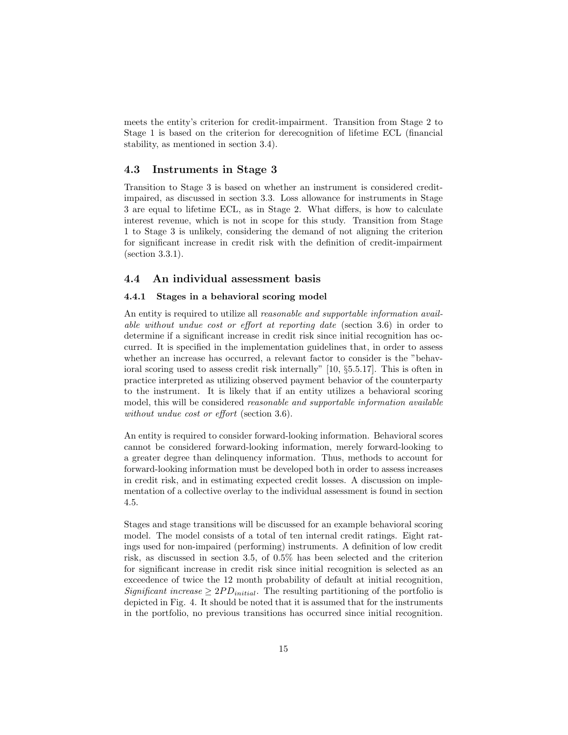meets the entity's criterion for credit-impairment. Transition from Stage 2 to Stage 1 is based on the criterion for derecognition of lifetime ECL (financial stability, as mentioned in section 3.4).

#### 4.3 Instruments in Stage 3

Transition to Stage 3 is based on whether an instrument is considered creditimpaired, as discussed in section 3.3. Loss allowance for instruments in Stage 3 are equal to lifetime ECL, as in Stage 2. What differs, is how to calculate interest revenue, which is not in scope for this study. Transition from Stage 1 to Stage 3 is unlikely, considering the demand of not aligning the criterion for significant increase in credit risk with the definition of credit-impairment (section 3.3.1).

#### 4.4 An individual assessment basis

#### 4.4.1 Stages in a behavioral scoring model

An entity is required to utilize all *reasonable and supportable information avail*able without undue cost or effort at reporting date (section 3.6) in order to determine if a significant increase in credit risk since initial recognition has occurred. It is specified in the implementation guidelines that, in order to assess whether an increase has occurred, a relevant factor to consider is the "behavioral scoring used to assess credit risk internally" [10, §5.5.17]. This is often in practice interpreted as utilizing observed payment behavior of the counterparty to the instrument. It is likely that if an entity utilizes a behavioral scoring model, this will be considered reasonable and supportable information available without undue cost or effort (section 3.6).

An entity is required to consider forward-looking information. Behavioral scores cannot be considered forward-looking information, merely forward-looking to a greater degree than delinquency information. Thus, methods to account for forward-looking information must be developed both in order to assess increases in credit risk, and in estimating expected credit losses. A discussion on implementation of a collective overlay to the individual assessment is found in section 4.5.

Stages and stage transitions will be discussed for an example behavioral scoring model. The model consists of a total of ten internal credit ratings. Eight ratings used for non-impaired (performing) instruments. A definition of low credit risk, as discussed in section 3.5, of 0.5% has been selected and the criterion for significant increase in credit risk since initial recognition is selected as an exceedence of twice the 12 month probability of default at initial recognition, Significant increase  $\geq 2PD_{initial}$ . The resulting partitioning of the portfolio is depicted in Fig. 4. It should be noted that it is assumed that for the instruments in the portfolio, no previous transitions has occurred since initial recognition.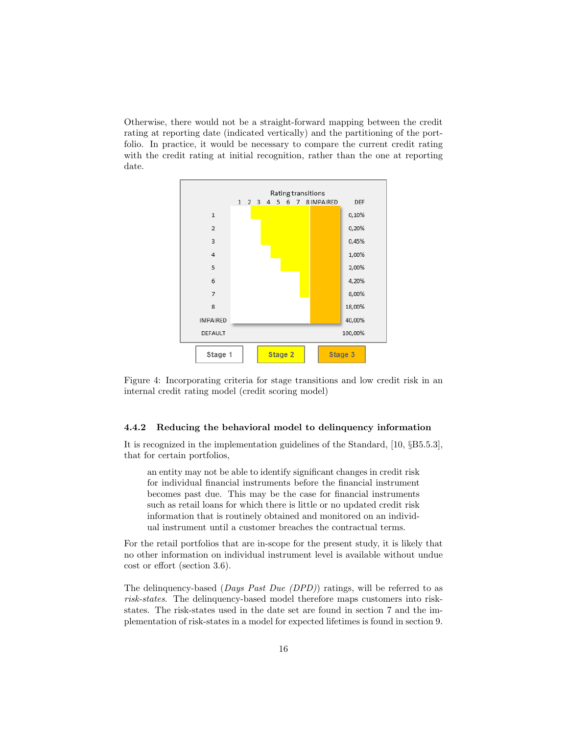Otherwise, there would not be a straight-forward mapping between the credit rating at reporting date (indicated vertically) and the partitioning of the portfolio. In practice, it would be necessary to compare the current credit rating with the credit rating at initial recognition, rather than the one at reporting date.



Figure 4: Incorporating criteria for stage transitions and low credit risk in an internal credit rating model (credit scoring model)

#### 4.4.2 Reducing the behavioral model to delinquency information

It is recognized in the implementation guidelines of the Standard, [10, §B5.5.3], that for certain portfolios,

an entity may not be able to identify significant changes in credit risk for individual financial instruments before the financial instrument becomes past due. This may be the case for financial instruments such as retail loans for which there is little or no updated credit risk information that is routinely obtained and monitored on an individual instrument until a customer breaches the contractual terms.

For the retail portfolios that are in-scope for the present study, it is likely that no other information on individual instrument level is available without undue cost or effort (section 3.6).

The delinquency-based (*Days Past Due (DPD)*) ratings, will be referred to as risk-states. The delinquency-based model therefore maps customers into riskstates. The risk-states used in the date set are found in section 7 and the implementation of risk-states in a model for expected lifetimes is found in section 9.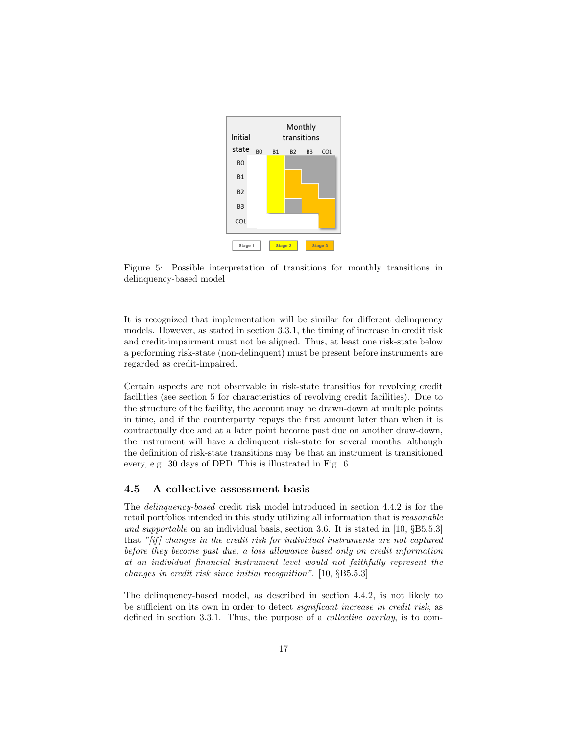

Figure 5: Possible interpretation of transitions for monthly transitions in delinquency-based model

It is recognized that implementation will be similar for different delinquency models. However, as stated in section 3.3.1, the timing of increase in credit risk and credit-impairment must not be aligned. Thus, at least one risk-state below a performing risk-state (non-delinquent) must be present before instruments are regarded as credit-impaired.

Certain aspects are not observable in risk-state transitios for revolving credit facilities (see section 5 for characteristics of revolving credit facilities). Due to the structure of the facility, the account may be drawn-down at multiple points in time, and if the counterparty repays the first amount later than when it is contractually due and at a later point become past due on another draw-down, the instrument will have a delinquent risk-state for several months, although the definition of risk-state transitions may be that an instrument is transitioned every, e.g. 30 days of DPD. This is illustrated in Fig. 6.

#### 4.5 A collective assessment basis

The delinquency-based credit risk model introduced in section 4.4.2 is for the retail portfolios intended in this study utilizing all information that is reasonable and supportable on an individual basis, section 3.6. It is stated in [10, §B5.5.3] that " $[if]$  changes in the credit risk for individual instruments are not captured before they become past due, a loss allowance based only on credit information at an individual financial instrument level would not faithfully represent the changes in credit risk since initial recognition". [10, §B5.5.3]

The delinquency-based model, as described in section 4.4.2, is not likely to be sufficient on its own in order to detect significant increase in credit risk, as defined in section 3.3.1. Thus, the purpose of a collective overlay, is to com-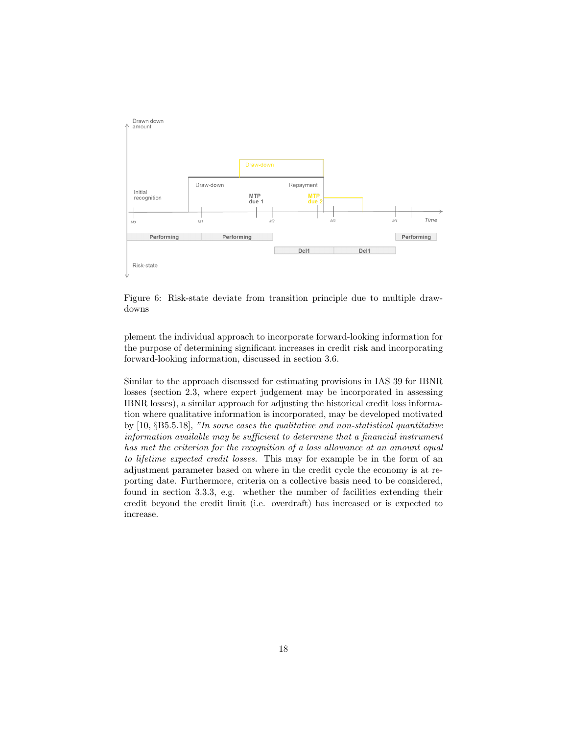

Figure 6: Risk-state deviate from transition principle due to multiple drawdowns

plement the individual approach to incorporate forward-looking information for the purpose of determining significant increases in credit risk and incorporating forward-looking information, discussed in section 3.6.

Similar to the approach discussed for estimating provisions in IAS 39 for IBNR losses (section 2.3, where expert judgement may be incorporated in assessing IBNR losses), a similar approach for adjusting the historical credit loss information where qualitative information is incorporated, may be developed motivated by [10, §B5.5.18], "In some cases the qualitative and non-statistical quantitative information available may be sufficient to determine that a financial instrument has met the criterion for the recognition of a loss allowance at an amount equal to lifetime expected credit losses. This may for example be in the form of an adjustment parameter based on where in the credit cycle the economy is at reporting date. Furthermore, criteria on a collective basis need to be considered, found in section 3.3.3, e.g. whether the number of facilities extending their credit beyond the credit limit (i.e. overdraft) has increased or is expected to increase.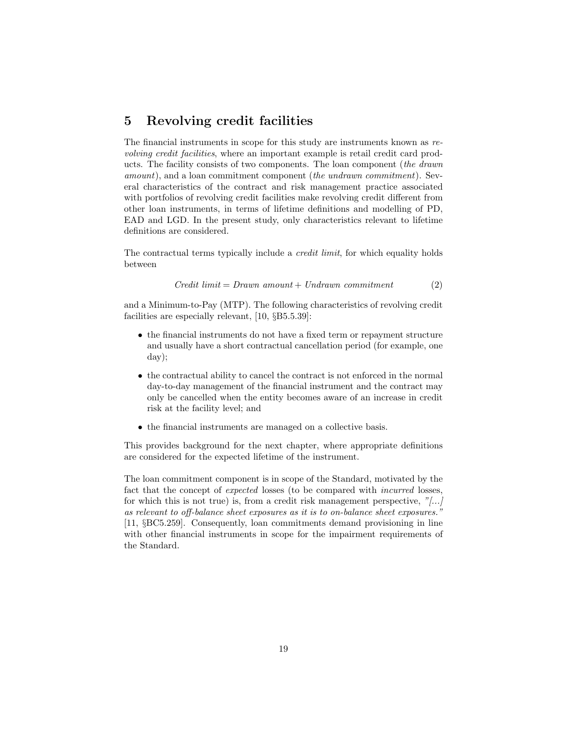## 5 Revolving credit facilities

The financial instruments in scope for this study are instruments known as revolving credit facilities, where an important example is retail credit card products. The facility consists of two components. The loan component (the drawn amount), and a loan commitment component (the undrawn commitment). Several characteristics of the contract and risk management practice associated with portfolios of revolving credit facilities make revolving credit different from other loan instruments, in terms of lifetime definitions and modelling of PD, EAD and LGD. In the present study, only characteristics relevant to lifetime definitions are considered.

The contractual terms typically include a *credit limit*, for which equality holds between

$$
Credit limit = Drawn amount + Undrawn commitment
$$
 (2)

and a Minimum-to-Pay (MTP). The following characteristics of revolving credit facilities are especially relevant, [10, §B5.5.39]:

- the financial instruments do not have a fixed term or repayment structure and usually have a short contractual cancellation period (for example, one day);
- the contractual ability to cancel the contract is not enforced in the normal day-to-day management of the financial instrument and the contract may only be cancelled when the entity becomes aware of an increase in credit risk at the facility level; and
- the financial instruments are managed on a collective basis.

This provides background for the next chapter, where appropriate definitions are considered for the expected lifetime of the instrument.

The loan commitment component is in scope of the Standard, motivated by the fact that the concept of expected losses (to be compared with incurred losses, for which this is not true) is, from a credit risk management perspective,  $\frac{m}{m}$ ... as relevant to off-balance sheet exposures as it is to on-balance sheet exposures." [11, §BC5.259]. Consequently, loan commitments demand provisioning in line with other financial instruments in scope for the impairment requirements of the Standard.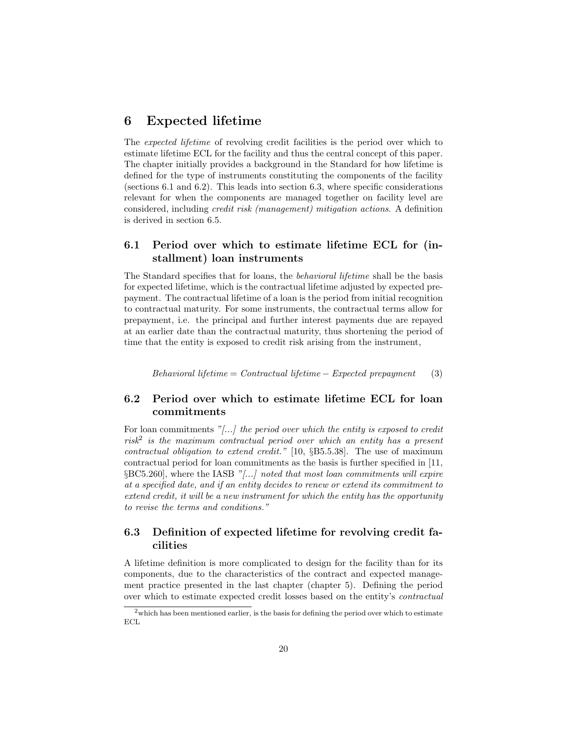## 6 Expected lifetime

The expected lifetime of revolving credit facilities is the period over which to estimate lifetime ECL for the facility and thus the central concept of this paper. The chapter initially provides a background in the Standard for how lifetime is defined for the type of instruments constituting the components of the facility (sections 6.1 and 6.2). This leads into section 6.3, where specific considerations relevant for when the components are managed together on facility level are considered, including credit risk (management) mitigation actions. A definition is derived in section 6.5.

## 6.1 Period over which to estimate lifetime ECL for (installment) loan instruments

The Standard specifies that for loans, the behavioral lifetime shall be the basis for expected lifetime, which is the contractual lifetime adjusted by expected prepayment. The contractual lifetime of a loan is the period from initial recognition to contractual maturity. For some instruments, the contractual terms allow for prepayment, i.e. the principal and further interest payments due are repayed at an earlier date than the contractual maturity, thus shortening the period of time that the entity is exposed to credit risk arising from the instrument,

Behavioral lifetime =  $Contractual$  lifetime − Expected prepayment (3)

## 6.2 Period over which to estimate lifetime ECL for loan commitments

For loan commitments  $\sqrt[n]{\ldots}$  the period over which the entity is exposed to credit  $risk^2$  is the maximum contractual period over which an entity has a present contractual obligation to extend credit." [10, §B5.5.38]. The use of maximum contractual period for loan commitments as the basis is further specified in [11, §BC5.260], where the IASB "[...] noted that most loan commitments will expire at a specified date, and if an entity decides to renew or extend its commitment to extend credit, it will be a new instrument for which the entity has the opportunity to revise the terms and conditions."

## 6.3 Definition of expected lifetime for revolving credit facilities

A lifetime definition is more complicated to design for the facility than for its components, due to the characteristics of the contract and expected management practice presented in the last chapter (chapter 5). Defining the period over which to estimate expected credit losses based on the entity's contractual

 $2$  which has been mentioned earlier, is the basis for defining the period over which to estimate ECL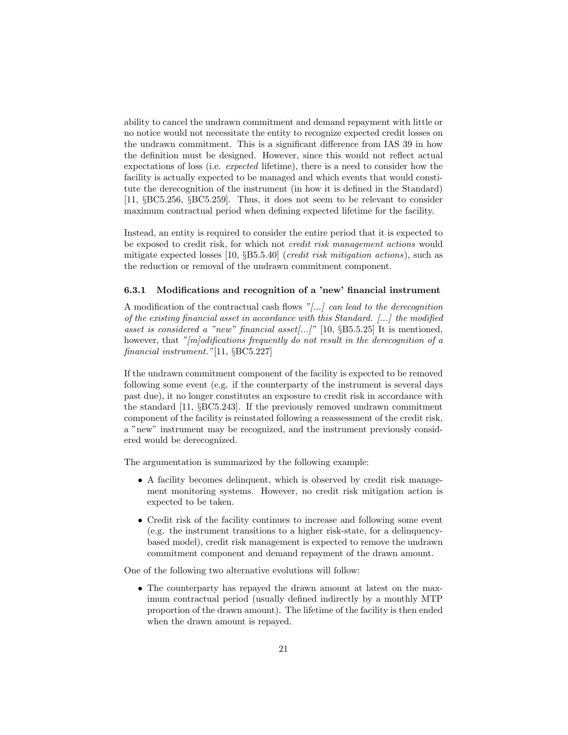ability to cancel the undrawn commitment and demand repayment with little or no notice would not necessitate the entity to recognize expected credit losses on the undrawn commitment. This is a significant difference from IAS 39 in how the definition must be designed. However, since this would not reflect actual expectations of loss (i.e. expected lifetime), there is a need to consider how the facility is actually expected to be managed and which events that would constitute the derecognition of the instrument (in how it is defined in the Standard) [11, §BC5.256, §BC5.259]. Thus, it does not seem to be relevant to consider maximum contractual period when defining expected lifetime for the facility.

Instead, an entity is required to consider the entire period that it is expected to be exposed to credit risk, for which not credit risk management actions would mitigate expected losses [10, §B5.5.40] (credit risk mitigation actions), such as the reduction or removal of the undrawn commitment component.

#### 6.3.1 Modifications and recognition of a 'new' financial instrument

A modification of the contractual cash flows "[...] can lead to the derecognition of the existing financial asset in accordance with this Standard. [...] the modified asset is considered a "new" financial asset [...]" [10,  $\S 5.5.25$ ] It is mentioned, however, that "[m]odifications frequently do not result in the derecognition of a financial instrument."[11, §BC5.227]

If the undrawn commitment component of the facility is expected to be removed following some event (e.g. if the counterparty of the instrument is several days past due), it no longer constitutes an exposure to credit risk in accordance with the standard [11, §BC5.243]. If the previously removed undrawn commitment component of the facility is reinstated following a reassessment of the credit risk, a "new" instrument may be recognized, and the instrument previously considered would be derecognized.

The argumentation is summarized by the following example:

- A facility becomes delinquent, which is observed by credit risk management monitoring systems. However, no credit risk mitigation action is expected to be taken.
- Credit risk of the facility continues to increase and following some event (e.g. the instrument transitions to a higher risk-state, for a delinquencybased model), credit risk management is expected to remove the undrawn commitment component and demand repayment of the drawn amount.

One of the following two alternative evolutions will follow:

• The counterparty has repayed the drawn amount at latest on the maximum contractual period (usually defined indirectly by a monthly MTP proportion of the drawn amount). The lifetime of the facility is then ended when the drawn amount is repayed.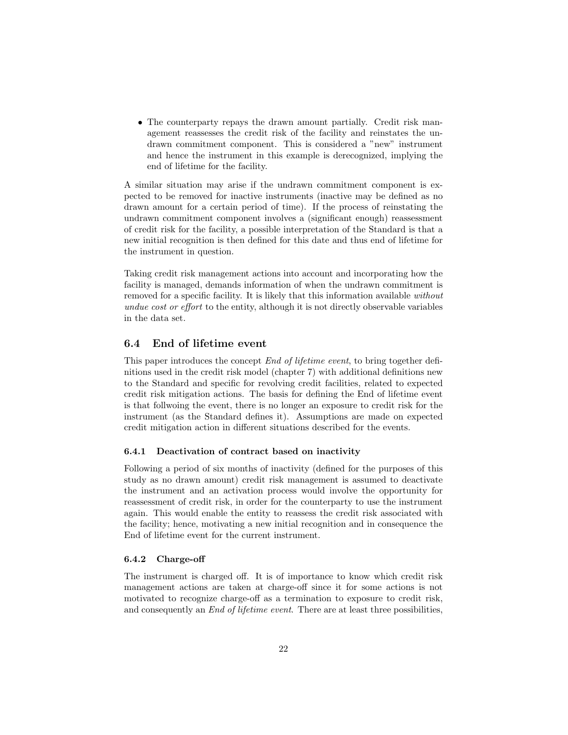• The counterparty repays the drawn amount partially. Credit risk management reassesses the credit risk of the facility and reinstates the undrawn commitment component. This is considered a "new" instrument and hence the instrument in this example is derecognized, implying the end of lifetime for the facility.

A similar situation may arise if the undrawn commitment component is expected to be removed for inactive instruments (inactive may be defined as no drawn amount for a certain period of time). If the process of reinstating the undrawn commitment component involves a (significant enough) reassessment of credit risk for the facility, a possible interpretation of the Standard is that a new initial recognition is then defined for this date and thus end of lifetime for the instrument in question.

Taking credit risk management actions into account and incorporating how the facility is managed, demands information of when the undrawn commitment is removed for a specific facility. It is likely that this information available without undue cost or effort to the entity, although it is not directly observable variables in the data set.

#### 6.4 End of lifetime event

This paper introduces the concept End of lifetime event, to bring together definitions used in the credit risk model (chapter 7) with additional definitions new to the Standard and specific for revolving credit facilities, related to expected credit risk mitigation actions. The basis for defining the End of lifetime event is that follwoing the event, there is no longer an exposure to credit risk for the instrument (as the Standard defines it). Assumptions are made on expected credit mitigation action in different situations described for the events.

#### 6.4.1 Deactivation of contract based on inactivity

Following a period of six months of inactivity (defined for the purposes of this study as no drawn amount) credit risk management is assumed to deactivate the instrument and an activation process would involve the opportunity for reassessment of credit risk, in order for the counterparty to use the instrument again. This would enable the entity to reassess the credit risk associated with the facility; hence, motivating a new initial recognition and in consequence the End of lifetime event for the current instrument.

#### 6.4.2 Charge-off

The instrument is charged off. It is of importance to know which credit risk management actions are taken at charge-off since it for some actions is not motivated to recognize charge-off as a termination to exposure to credit risk, and consequently an *End of lifetime event*. There are at least three possibilities,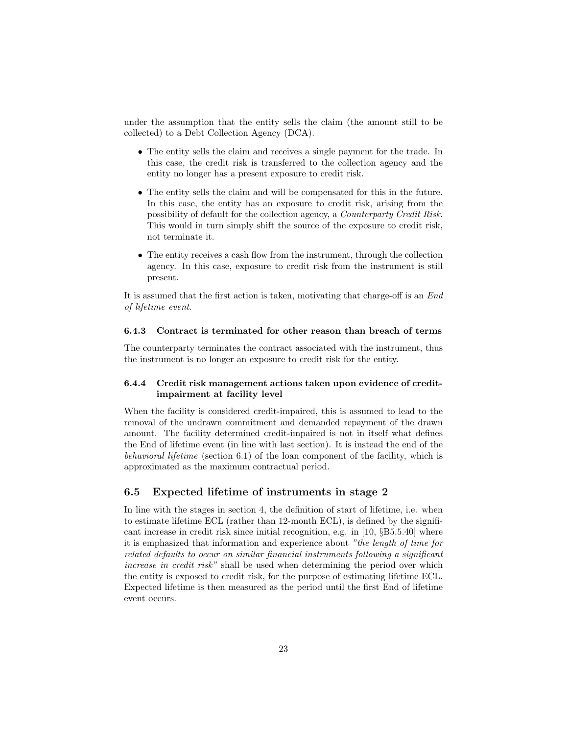under the assumption that the entity sells the claim (the amount still to be collected) to a Debt Collection Agency (DCA).

- The entity sells the claim and receives a single payment for the trade. In this case, the credit risk is transferred to the collection agency and the entity no longer has a present exposure to credit risk.
- The entity sells the claim and will be compensated for this in the future. In this case, the entity has an exposure to credit risk, arising from the possibility of default for the collection agency, a Counterparty Credit Risk. This would in turn simply shift the source of the exposure to credit risk, not terminate it.
- The entity receives a cash flow from the instrument, through the collection agency. In this case, exposure to credit risk from the instrument is still present.

It is assumed that the first action is taken, motivating that charge-off is an End of lifetime event.

#### 6.4.3 Contract is terminated for other reason than breach of terms

The counterparty terminates the contract associated with the instrument, thus the instrument is no longer an exposure to credit risk for the entity.

#### 6.4.4 Credit risk management actions taken upon evidence of creditimpairment at facility level

When the facility is considered credit-impaired, this is assumed to lead to the removal of the undrawn commitment and demanded repayment of the drawn amount. The facility determined credit-impaired is not in itself what defines the End of lifetime event (in line with last section). It is instead the end of the behavioral lifetime (section 6.1) of the loan component of the facility, which is approximated as the maximum contractual period.

#### 6.5 Expected lifetime of instruments in stage 2

In line with the stages in section 4, the definition of start of lifetime, i.e. when to estimate lifetime ECL (rather than 12-month ECL), is defined by the significant increase in credit risk since initial recognition, e.g. in  $[10, \S B5.5.40]$  where it is emphasized that information and experience about "the length of time for related defaults to occur on similar financial instruments following a significant increase in credit risk" shall be used when determining the period over which the entity is exposed to credit risk, for the purpose of estimating lifetime ECL. Expected lifetime is then measured as the period until the first End of lifetime event occurs.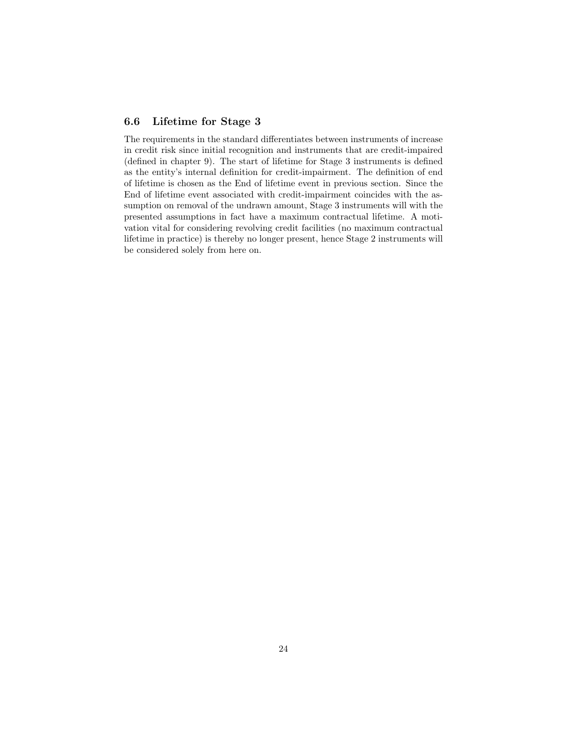### 6.6 Lifetime for Stage 3

The requirements in the standard differentiates between instruments of increase in credit risk since initial recognition and instruments that are credit-impaired (defined in chapter 9). The start of lifetime for Stage 3 instruments is defined as the entity's internal definition for credit-impairment. The definition of end of lifetime is chosen as the End of lifetime event in previous section. Since the End of lifetime event associated with credit-impairment coincides with the assumption on removal of the undrawn amount, Stage 3 instruments will with the presented assumptions in fact have a maximum contractual lifetime. A motivation vital for considering revolving credit facilities (no maximum contractual lifetime in practice) is thereby no longer present, hence Stage 2 instruments will be considered solely from here on.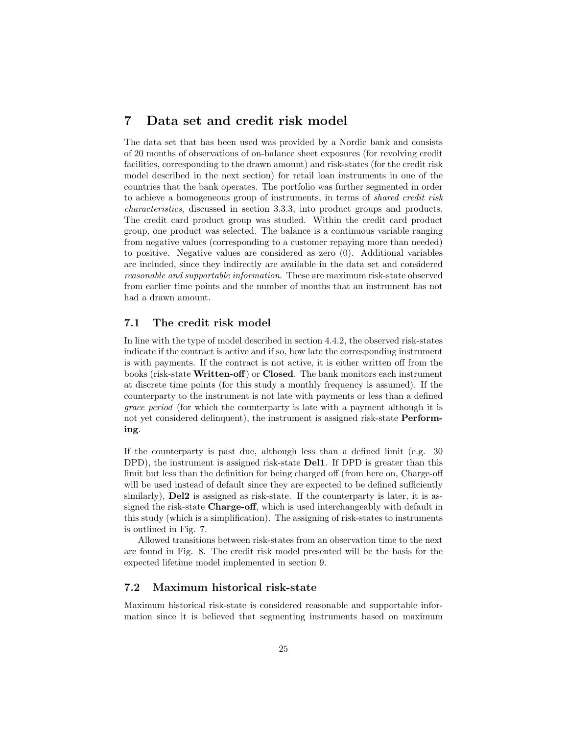## 7 Data set and credit risk model

The data set that has been used was provided by a Nordic bank and consists of 20 months of observations of on-balance sheet exposures (for revolving credit facilities, corresponding to the drawn amount) and risk-states (for the credit risk model described in the next section) for retail loan instruments in one of the countries that the bank operates. The portfolio was further segmented in order to achieve a homogeneous group of instruments, in terms of shared credit risk characteristics, discussed in section 3.3.3, into product groups and products. The credit card product group was studied. Within the credit card product group, one product was selected. The balance is a continuous variable ranging from negative values (corresponding to a customer repaying more than needed) to positive. Negative values are considered as zero (0). Additional variables are included, since they indirectly are available in the data set and considered reasonable and supportable information. These are maximum risk-state observed from earlier time points and the number of months that an instrument has not had a drawn amount.

### 7.1 The credit risk model

In line with the type of model described in section 4.4.2, the observed risk-states indicate if the contract is active and if so, how late the corresponding instrument is with payments. If the contract is not active, it is either written off from the books (risk-state Written-off) or Closed. The bank monitors each instrument at discrete time points (for this study a monthly frequency is assumed). If the counterparty to the instrument is not late with payments or less than a defined grace period (for which the counterparty is late with a payment although it is not yet considered delinquent), the instrument is assigned risk-state Performing.

If the counterparty is past due, although less than a defined limit (e.g. 30 DPD), the instrument is assigned risk-state Del1. If DPD is greater than this limit but less than the definition for being charged off (from here on, Charge-off will be used instead of default since they are expected to be defined sufficiently similarly),  $\textbf{Del2}$  is assigned as risk-state. If the counterparty is later, it is assigned the risk-state Charge-off, which is used interchangeably with default in this study (which is a simplification). The assigning of risk-states to instruments is outlined in Fig. 7.

Allowed transitions between risk-states from an observation time to the next are found in Fig. 8. The credit risk model presented will be the basis for the expected lifetime model implemented in section 9.

#### 7.2 Maximum historical risk-state

Maximum historical risk-state is considered reasonable and supportable information since it is believed that segmenting instruments based on maximum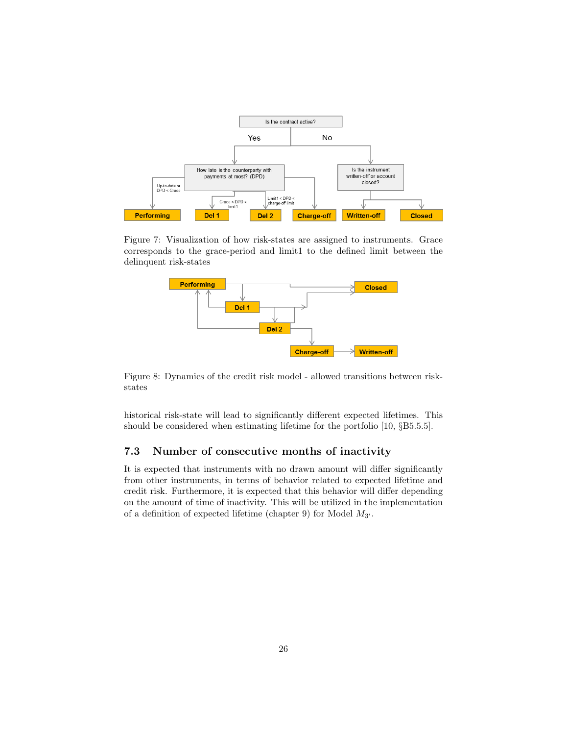

Figure 7: Visualization of how risk-states are assigned to instruments. Grace corresponds to the grace-period and limit1 to the defined limit between the delinquent risk-states



Figure 8: Dynamics of the credit risk model - allowed transitions between riskstates

historical risk-state will lead to significantly different expected lifetimes. This should be considered when estimating lifetime for the portfolio [10, §B5.5.5].

### 7.3 Number of consecutive months of inactivity

It is expected that instruments with no drawn amount will differ significantly from other instruments, in terms of behavior related to expected lifetime and credit risk. Furthermore, it is expected that this behavior will differ depending on the amount of time of inactivity. This will be utilized in the implementation of a definition of expected lifetime (chapter 9) for Model  $M_{3'}$ .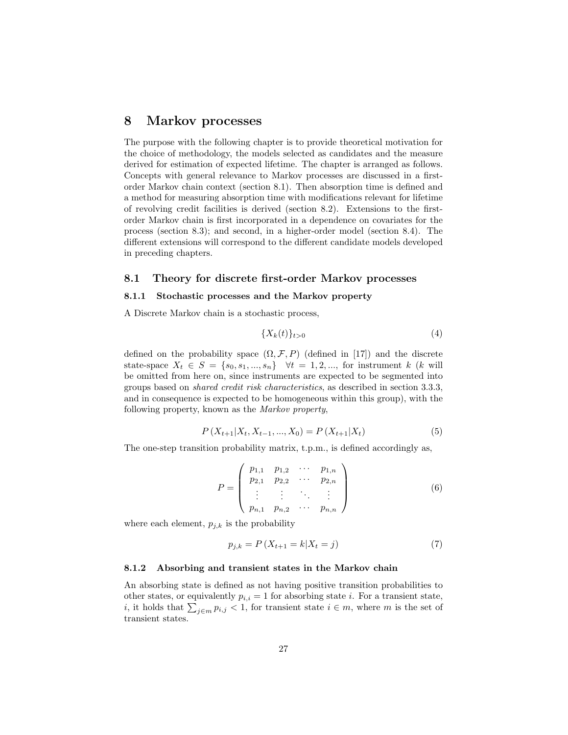## 8 Markov processes

The purpose with the following chapter is to provide theoretical motivation for the choice of methodology, the models selected as candidates and the measure derived for estimation of expected lifetime. The chapter is arranged as follows. Concepts with general relevance to Markov processes are discussed in a firstorder Markov chain context (section 8.1). Then absorption time is defined and a method for measuring absorption time with modifications relevant for lifetime of revolving credit facilities is derived (section 8.2). Extensions to the firstorder Markov chain is first incorporated in a dependence on covariates for the process (section 8.3); and second, in a higher-order model (section 8.4). The different extensions will correspond to the different candidate models developed in preceding chapters.

#### 8.1 Theory for discrete first-order Markov processes

#### 8.1.1 Stochastic processes and the Markov property

A Discrete Markov chain is a stochastic process,

$$
\{X_k(t)\}_{t>0} \tag{4}
$$

defined on the probability space  $(\Omega, \mathcal{F}, P)$  (defined in [17]) and the discrete state-space  $X_t \in S = \{s_0, s_1, ..., s_n\}$   $\forall t = 1, 2, ...,$  for instrument k (k will be omitted from here on, since instruments are expected to be segmented into groups based on shared credit risk characteristics, as described in section 3.3.3, and in consequence is expected to be homogeneous within this group), with the following property, known as the Markov property,

$$
P(X_{t+1}|X_t, X_{t-1}, ..., X_0) = P(X_{t+1}|X_t)
$$
\n<sup>(5)</sup>

The one-step transition probability matrix, t.p.m., is defined accordingly as,

$$
P = \begin{pmatrix} p_{1,1} & p_{1,2} & \cdots & p_{1,n} \\ p_{2,1} & p_{2,2} & \cdots & p_{2,n} \\ \vdots & \vdots & \ddots & \vdots \\ p_{n,1} & p_{n,2} & \cdots & p_{n,n} \end{pmatrix}
$$
 (6)

where each element,  $p_{j,k}$  is the probability

$$
p_{j,k} = P\left(X_{t+1} = k | X_t = j\right) \tag{7}
$$

#### 8.1.2 Absorbing and transient states in the Markov chain

An absorbing state is defined as not having positive transition probabilities to other states, or equivalently  $p_{i,i} = 1$  for absorbing state i. For a transient state, *i*, it holds that  $\sum_{j \in m} p_{i,j} < 1$ , for transient state  $i \in m$ , where m is the set of transient states.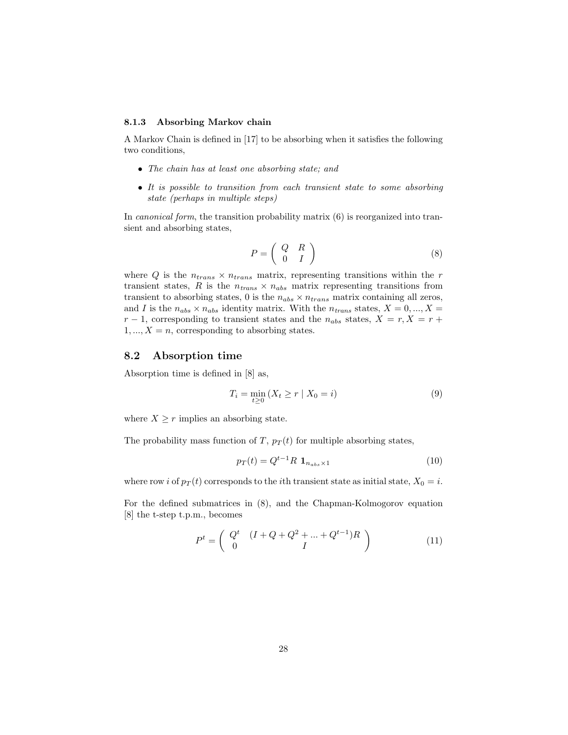#### 8.1.3 Absorbing Markov chain

A Markov Chain is defined in [17] to be absorbing when it satisfies the following two conditions,

- The chain has at least one absorbing state; and
- It is possible to transition from each transient state to some absorbing state (perhaps in multiple steps)

In *canonical form*, the transition probability matrix (6) is reorganized into transient and absorbing states,

$$
P = \left(\begin{array}{cc} Q & R \\ 0 & I \end{array}\right) \tag{8}
$$

where Q is the  $n_{trans} \times n_{trans}$  matrix, representing transitions within the r transient states, R is the  $n_{trans} \times n_{abs}$  matrix representing transitions from transient to absorbing states, 0 is the  $n_{abs} \times n_{trans}$  matrix containing all zeros, and I is the  $n_{abs} \times n_{abs}$  identity matrix. With the  $n_{trans}$  states,  $X = 0, ..., X =$  $r-1$ , corresponding to transient states and the  $n_{abs}$  states,  $X = r, X = r +$  $1, ..., X = n$ , corresponding to absorbing states.

#### 8.2 Absorption time

Absorption time is defined in [8] as,

$$
T_i = \min_{t \ge 0} (X_t \ge r \mid X_0 = i)
$$
\n(9)

where  $X \geq r$  implies an absorbing state.

The probability mass function of T,  $p_T(t)$  for multiple absorbing states,

$$
p_T(t) = Q^{t-1} R \mathbf{1}_{n_{abs} \times 1} \tag{10}
$$

where row *i* of  $p_T(t)$  corresponds to the *i*th transient state as initial state,  $X_0 = i$ .

For the defined submatrices in (8), and the Chapman-Kolmogorov equation [8] the t-step t.p.m., becomes

$$
P^{t} = \left( \begin{array}{cc} Q^{t} & (I + Q + Q^{2} + \dots + Q^{t-1})R \\ 0 & I \end{array} \right)
$$
 (11)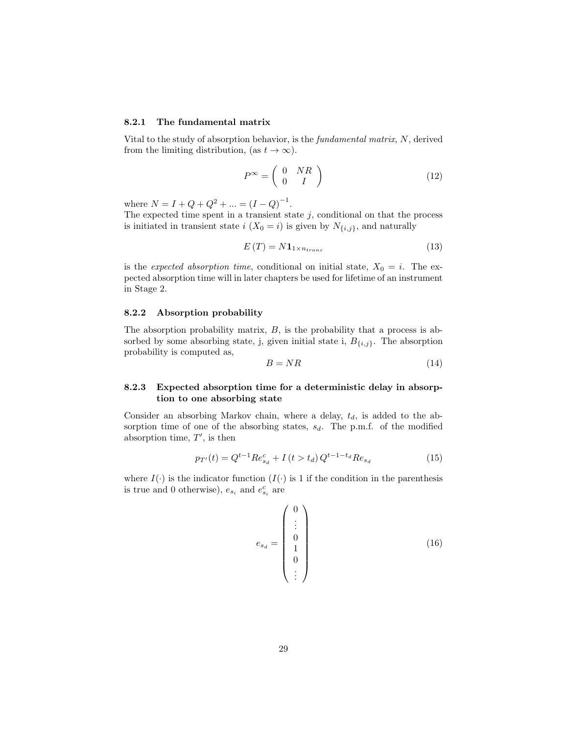#### 8.2.1 The fundamental matrix

Vital to the study of absorption behavior, is the fundamental matrix, N, derived from the limiting distribution, (as  $t \to \infty$ ).

$$
P^{\infty} = \left(\begin{array}{cc} 0 & NR \\ 0 & I \end{array}\right) \tag{12}
$$

where  $N = I + Q + Q^2 + ... = (I - Q)^{-1}$ .

The expected time spent in a transient state  $j$ , conditional on that the process is initiated in transient state  $i$  ( $X_0 = i$ ) is given by  $N_{\{i,j\}}$ , and naturally

$$
E(T) = N \mathbf{1}_{1 \times n_{trans}} \tag{13}
$$

is the expected absorption time, conditional on initial state,  $X_0 = i$ . The expected absorption time will in later chapters be used for lifetime of an instrument in Stage 2.

#### 8.2.2 Absorption probability

The absorption probability matrix,  $B$ , is the probability that a process is absorbed by some absorbing state, j, given initial state i,  $B_{\{i,j\}}$ . The absorption probability is computed as,

$$
B = NR \tag{14}
$$

#### 8.2.3 Expected absorption time for a deterministic delay in absorption to one absorbing state

Consider an absorbing Markov chain, where a delay,  $t_d$ , is added to the absorption time of one of the absorbing states,  $s_d$ . The p.m.f. of the modified absorption time,  $T'$ , is then

$$
p_{T'}(t) = Q^{t-1} Re_{s_d}^c + I(t > t_d) Q^{t-1-t_d} Re_{s_d}
$$
 (15)

where  $I(\cdot)$  is the indicator function  $(I(\cdot))$  is 1 if the condition in the parenthesis is true and 0 otherwise),  $e_{s_i}$  and  $e_{s_i}^c$  are

$$
e_{s_d} = \begin{pmatrix} 0 \\ \vdots \\ 0 \\ 1 \\ 0 \\ \vdots \end{pmatrix}
$$
 (16)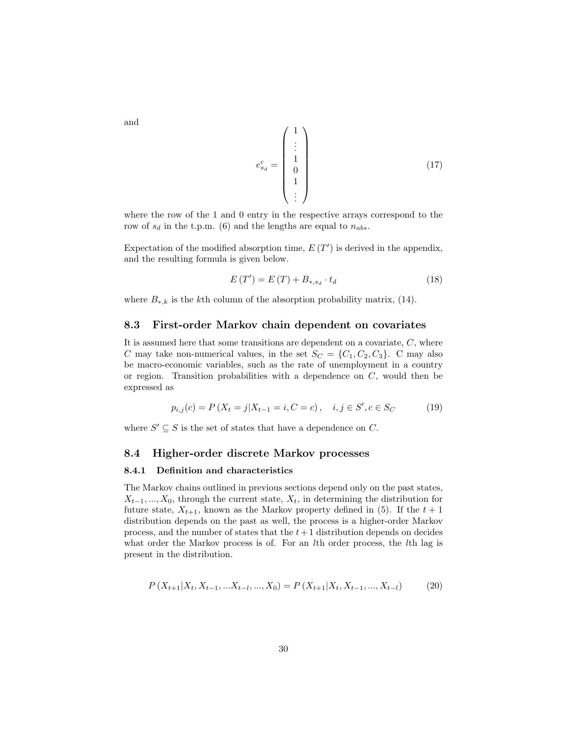$$
e_{sd}^c = \begin{pmatrix} 1 \\ \vdots \\ 1 \\ 0 \\ 1 \\ \vdots \end{pmatrix}
$$
 (17)

where the row of the 1 and 0 entry in the respective arrays correspond to the row of  $s_d$  in the t.p.m. (6) and the lengths are equal to  $n_{abs}$ .

Expectation of the modified absorption time,  $E(T')$  is derived in the appendix, and the resulting formula is given below.

$$
E(T') = E(T) + B_{*,s_d} \cdot t_d \tag{18}
$$

where  $B_{*,k}$  is the k<sup>th</sup> column of the absorption probability matrix, (14).

#### 8.3 First-order Markov chain dependent on covariates

It is assumed here that some transitions are dependent on a covariate,  $C$ , where C may take non-numerical values, in the set  $S_C = \{C_1, C_2, C_3\}$ . C may also be macro-economic variables, such as the rate of unemployment in a country or region. Transition probabilities with a dependence on  $C$ , would then be expressed as

$$
p_{i,j}(c) = P(X_t = j | X_{t-1} = i, C = c), \quad i, j \in S', c \in S_C
$$
\n(19)

where  $S' \subseteq S$  is the set of states that have a dependence on C.

#### 8.4 Higher-order discrete Markov processes

#### 8.4.1 Definition and characteristics

The Markov chains outlined in previous sections depend only on the past states,  $X_{t-1},..., X_0$ , through the current state,  $X_t$ , in determining the distribution for future state,  $X_{t+1}$ , known as the Markov property defined in (5). If the  $t+1$ distribution depends on the past as well, the process is a higher-order Markov process, and the number of states that the  $t+1$  distribution depends on decides what order the Markov process is of. For an *l*th order process, the *l*th lag is present in the distribution.

$$
P(X_{t+1}|X_t, X_{t-1}, \dots, X_{t-l}, \dots, X_0) = P(X_{t+1}|X_t, X_{t-1}, \dots, X_{t-l})
$$
\n(20)

and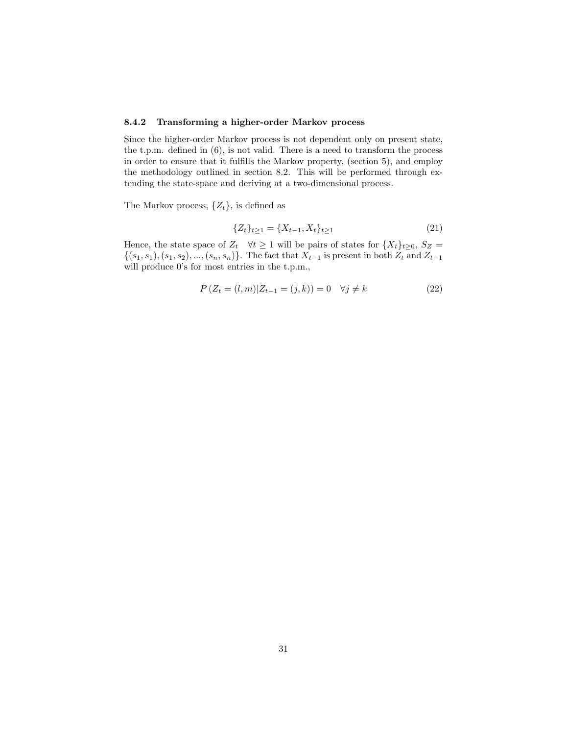#### 8.4.2 Transforming a higher-order Markov process

Since the higher-order Markov process is not dependent only on present state, the t.p.m. defined in (6), is not valid. There is a need to transform the process in order to ensure that it fulfills the Markov property, (section 5), and employ the methodology outlined in section 8.2. This will be performed through extending the state-space and deriving at a two-dimensional process.

The Markov process,  $\{Z_t\}$ , is defined as

$$
\{Z_t\}_{t\geq 1} = \{X_{t-1}, X_t\}_{t\geq 1} \tag{21}
$$

Hence, the state space of  $Z_t$   $\forall t \geq 1$  will be pairs of states for  $\{X_t\}_{t \geq 0}$ ,  $S_Z$  =  $\{(s_1, s_1), (s_1, s_2), ..., (s_n, s_n)\}.$  The fact that  $X_{t-1}$  is present in both  $Z_t$  and  $Z_{t-1}$ will produce 0's for most entries in the t.p.m.,

$$
P(Z_t = (l, m)|Z_{t-1} = (j, k)) = 0 \quad \forall j \neq k
$$
\n(22)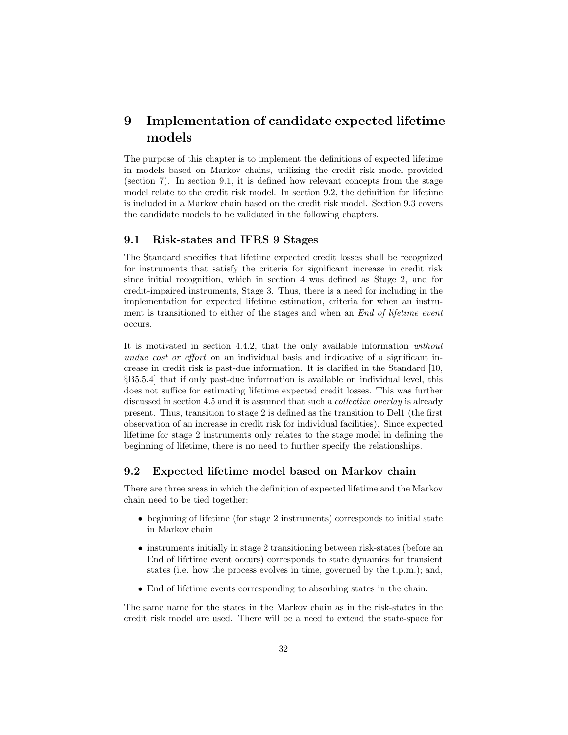## 9 Implementation of candidate expected lifetime models

The purpose of this chapter is to implement the definitions of expected lifetime in models based on Markov chains, utilizing the credit risk model provided (section 7). In section 9.1, it is defined how relevant concepts from the stage model relate to the credit risk model. In section 9.2, the definition for lifetime is included in a Markov chain based on the credit risk model. Section 9.3 covers the candidate models to be validated in the following chapters.

#### 9.1 Risk-states and IFRS 9 Stages

The Standard specifies that lifetime expected credit losses shall be recognized for instruments that satisfy the criteria for significant increase in credit risk since initial recognition, which in section 4 was defined as Stage 2, and for credit-impaired instruments, Stage 3. Thus, there is a need for including in the implementation for expected lifetime estimation, criteria for when an instrument is transitioned to either of the stages and when an *End of lifetime event* occurs.

It is motivated in section 4.4.2, that the only available information without undue cost or effort on an individual basis and indicative of a significant increase in credit risk is past-due information. It is clarified in the Standard [10, §B5.5.4] that if only past-due information is available on individual level, this does not suffice for estimating lifetime expected credit losses. This was further discussed in section 4.5 and it is assumed that such a *collective overlay* is already present. Thus, transition to stage 2 is defined as the transition to Del1 (the first observation of an increase in credit risk for individual facilities). Since expected lifetime for stage 2 instruments only relates to the stage model in defining the beginning of lifetime, there is no need to further specify the relationships.

#### 9.2 Expected lifetime model based on Markov chain

There are three areas in which the definition of expected lifetime and the Markov chain need to be tied together:

- beginning of lifetime (for stage 2 instruments) corresponds to initial state in Markov chain
- instruments initially in stage 2 transitioning between risk-states (before an End of lifetime event occurs) corresponds to state dynamics for transient states (i.e. how the process evolves in time, governed by the t.p.m.); and,
- End of lifetime events corresponding to absorbing states in the chain.

The same name for the states in the Markov chain as in the risk-states in the credit risk model are used. There will be a need to extend the state-space for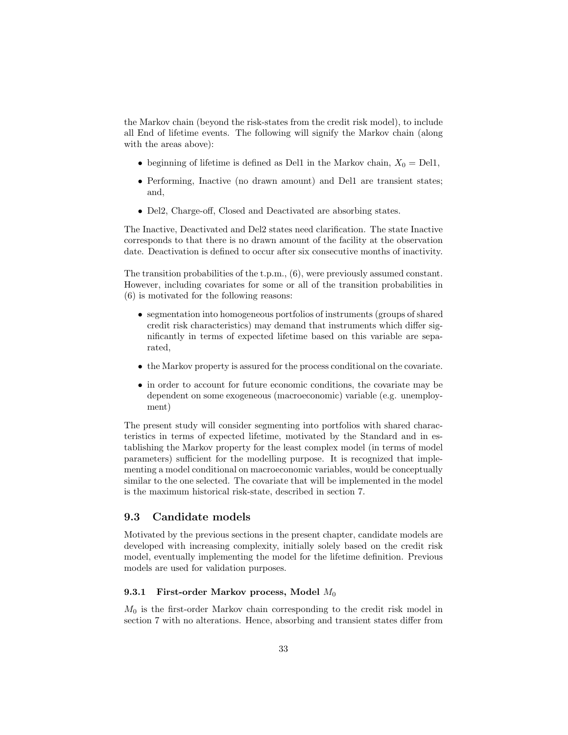the Markov chain (beyond the risk-states from the credit risk model), to include all End of lifetime events. The following will signify the Markov chain (along with the areas above):

- beginning of lifetime is defined as Del1 in the Markov chain,  $X_0 =$  Del1,
- Performing, Inactive (no drawn amount) and Del1 are transient states; and,
- Del2, Charge-off, Closed and Deactivated are absorbing states.

The Inactive, Deactivated and Del2 states need clarification. The state Inactive corresponds to that there is no drawn amount of the facility at the observation date. Deactivation is defined to occur after six consecutive months of inactivity.

The transition probabilities of the t.p.m., (6), were previously assumed constant. However, including covariates for some or all of the transition probabilities in (6) is motivated for the following reasons:

- segmentation into homogeneous portfolios of instruments (groups of shared credit risk characteristics) may demand that instruments which differ significantly in terms of expected lifetime based on this variable are separated,
- the Markov property is assured for the process conditional on the covariate.
- in order to account for future economic conditions, the covariate may be dependent on some exogeneous (macroeconomic) variable (e.g. unemployment)

The present study will consider segmenting into portfolios with shared characteristics in terms of expected lifetime, motivated by the Standard and in establishing the Markov property for the least complex model (in terms of model parameters) sufficient for the modelling purpose. It is recognized that implementing a model conditional on macroeconomic variables, would be conceptually similar to the one selected. The covariate that will be implemented in the model is the maximum historical risk-state, described in section 7.

#### 9.3 Candidate models

Motivated by the previous sections in the present chapter, candidate models are developed with increasing complexity, initially solely based on the credit risk model, eventually implementing the model for the lifetime definition. Previous models are used for validation purposes.

#### 9.3.1 First-order Markov process, Model  $M_0$

 $M_0$  is the first-order Markov chain corresponding to the credit risk model in section 7 with no alterations. Hence, absorbing and transient states differ from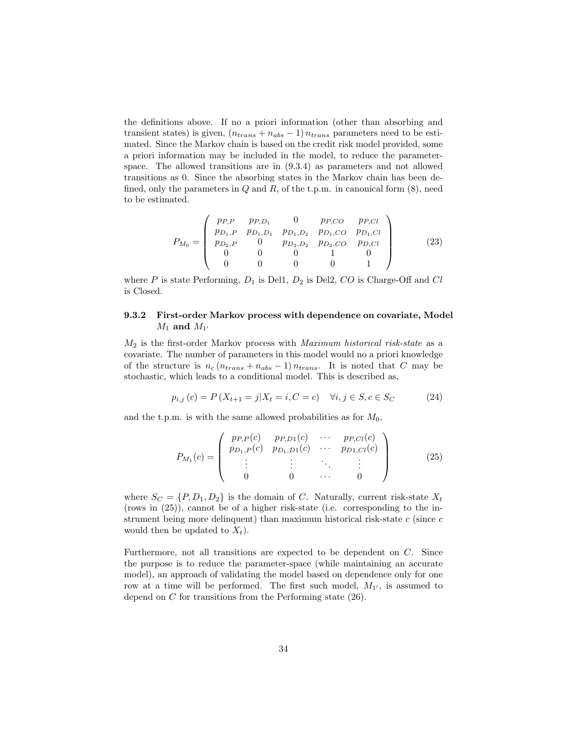the definitions above. If no a priori information (other than absorbing and transient states) is given,  $(n_{trans} + n_{abs} - 1) n_{trans}$  parameters need to be estimated. Since the Markov chain is based on the credit risk model provided, some a priori information may be included in the model, to reduce the parameterspace. The allowed transitions are in (9.3.4) as parameters and not allowed transitions as 0. Since the absorbing states in the Markov chain has been defined, only the parameters in  $Q$  and  $R$ , of the t.p.m. in canonical form  $(8)$ , need to be estimated.

$$
P_{M_0} = \begin{pmatrix} pp, p & pp, D_1 & 0 & pp, CO & pp, Cl \\ pp_{1, P} & pp_{1, D_1} & pp_{1, D_2} & pp_{1, CO} & pp_{1, Cl} \\ pp_{2, P} & 0 & pp_{2, D_2} & pp_{2, CO} & pp, Cl \\ 0 & 0 & 0 & 1 & 0 \\ 0 & 0 & 0 & 0 & 1 \end{pmatrix}
$$
(23)

where  $P$  is state Performing,  $D_1$  is Del1,  $D_2$  is Del2,  $CO$  is Charge-Off and  $Cl$ is Closed.

### 9.3.2 First-order Markov process with dependence on covariate, Model  $M_1$  and  $M_{1'}$

 $M_2$  is the first-order Markov process with *Maximum historical risk-state* as a covariate. The number of parameters in this model would no a priori knowledge of the structure is  $n_c (n_{trans} + n_{abs} - 1) n_{trans}$ . It is noted that C may be stochastic, which leads to a conditional model. This is described as,

$$
p_{i,j}(c) = P(X_{t+1} = j | X_t = i, C = c) \quad \forall i, j \in S, c \in S_C \tag{24}
$$

and the t.p.m. is with the same allowed probabilities as for  $M_0$ ,

$$
P_{M_1}(c) = \begin{pmatrix} p_{P,P}(c) & p_{P,D1}(c) & \cdots & p_{P,Cl}(c) \\ p_{D_1,P}(c) & p_{D_1,D1}(c) & \cdots & p_{D1,Cl}(c) \\ \vdots & \vdots & \ddots & \vdots \\ 0 & 0 & \cdots & 0 \end{pmatrix}
$$
 (25)

where  $S_C = \{P, D_1, D_2\}$  is the domain of C. Naturally, current risk-state  $X_t$ (rows in (25)), cannot be of a higher risk-state (i.e. corresponding to the instrument being more delinquent) than maximum historical risk-state  $c$  (since  $c$ would then be updated to  $X_t$ ).

Furthermore, not all transitions are expected to be dependent on C. Since the purpose is to reduce the parameter-space (while maintaining an accurate model), an approach of validating the model based on dependence only for one row at a time will be performed. The first such model,  $M_{1'}$ , is assumed to depend on C for transitions from the Performing state (26).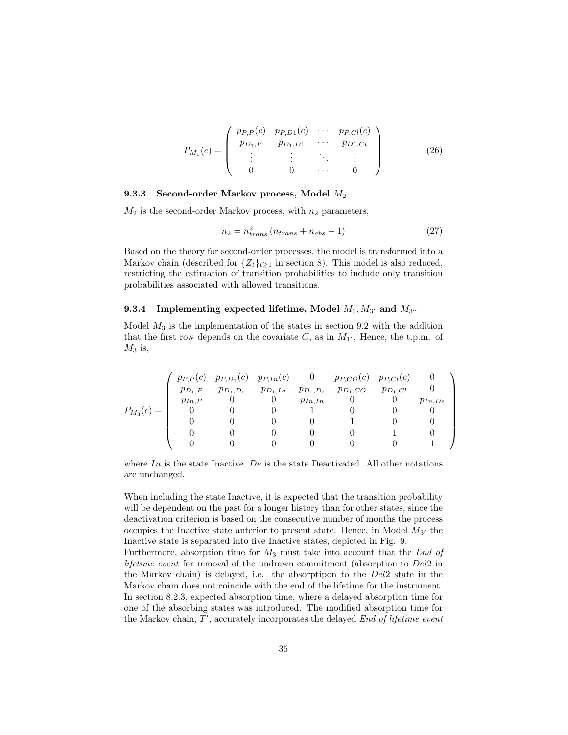$$
P_{M_1}(c) = \begin{pmatrix} p_{P,P}(c) & p_{P,D1}(c) & \cdots & p_{P,Cl}(c) \\ p_{D_1,P} & p_{D_1,D1} & \cdots & p_{D1,Cl} \\ \vdots & \vdots & \ddots & \vdots \\ 0 & 0 & \cdots & 0 \end{pmatrix}
$$
 (26)

#### 9.3.3 Second-order Markov process, Model M<sup>2</sup>

 $M_2$  is the second-order Markov process, with  $n_2$  parameters,

$$
n_2 = n_{trans}^2 (n_{trans} + n_{abs} - 1) \tag{27}
$$

Based on the theory for second-order processes, the model is transformed into a Markov chain (described for  $\{Z_t\}_{t\geq 1}$  in section 8). This model is also reduced, restricting the estimation of transition probabilities to include only transition probabilities associated with allowed transitions.

#### 9.3.4 Implementing expected lifetime, Model  $M_3, M_{3'}$  and  $M_{3''}$

Model  $M_3$  is the implementation of the states in section 9.2 with the addition that the first row depends on the covariate C, as in  $M_{1'}$ . Hence, the t.p.m. of  $M_3$  is,

|                |             | $p_{P,P}(c)$ $p_{P,D_1}(c)$ $p_{P,In}(c)$ 0 |                            |             | $p_{P,CO}(c)$ $p_{P,Cl}(c)$ |              |             |
|----------------|-------------|---------------------------------------------|----------------------------|-------------|-----------------------------|--------------|-------------|
|                | $p_{D_1,P}$ |                                             | $p_{D_1,D_1}$ $p_{D_1,In}$ |             | $p_{D_1,D_2}$ $p_{D_1,CO}$  | $p_{D_1,Cl}$ |             |
|                | $p_{In,P}$  |                                             |                            | $p_{In,In}$ |                             |              | $p_{In,De}$ |
| $P_{M_3}(c) =$ |             |                                             |                            |             |                             |              |             |
|                |             |                                             |                            |             |                             |              |             |
|                |             |                                             |                            |             |                             |              |             |
|                |             |                                             |                            |             |                             |              |             |

where  $In$  is the state Inactive,  $De$  is the state Deactivated. All other notations are unchanged.

When including the state Inactive, it is expected that the transition probability will be dependent on the past for a longer history than for other states, since the deactivation criterion is based on the consecutive number of months the process occupies the Inactive state anterior to present state. Hence, in Model  $M_{3'}$  the Inactive state is separated into five Inactive states, depicted in Fig. 9.

Furthermore, absorption time for  $M_3$  must take into account that the End of lifetime event for removal of the undrawn commitment (absorption to  $Del2$  in the Markov chain) is delayed, i.e. the absorptipon to the Del2 state in the Markov chain does not coincide with the end of the lifetime for the instrument. In section 8.2.3, expected absorption time, where a delayed absorption time for one of the absorbing states was introduced. The modified absorption time for the Markov chain,  $T'$ , accurately incorporates the delayed  $End$  of lifetime event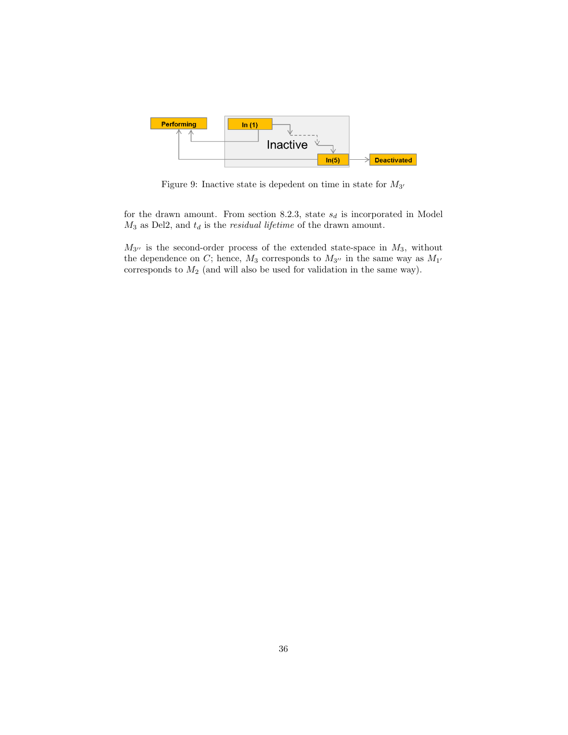

Figure 9: Inactive state is depedent on time in state for  $M_{3'}$ 

for the drawn amount. From section 8.2.3, state  $s_d$  is incorporated in Model  $M_3$  as Del2, and  $t_d$  is the *residual lifetime* of the drawn amount.

 $M_{3''}$  is the second-order process of the extended state-space in  $M_3$ , without the dependence on C; hence,  $M_3$  corresponds to  $M_{3''}$  in the same way as  $M_{1'}$ corresponds to  $M_2$  (and will also be used for validation in the same way).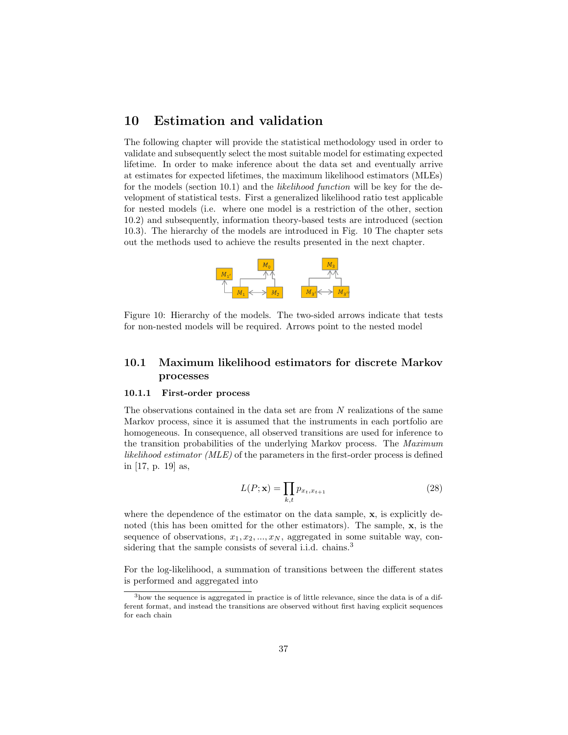## 10 Estimation and validation

The following chapter will provide the statistical methodology used in order to validate and subsequently select the most suitable model for estimating expected lifetime. In order to make inference about the data set and eventually arrive at estimates for expected lifetimes, the maximum likelihood estimators (MLEs) for the models (section 10.1) and the likelihood function will be key for the development of statistical tests. First a generalized likelihood ratio test applicable for nested models (i.e. where one model is a restriction of the other, section 10.2) and subsequently, information theory-based tests are introduced (section 10.3). The hierarchy of the models are introduced in Fig. 10 The chapter sets out the methods used to achieve the results presented in the next chapter.



Figure 10: Hierarchy of the models. The two-sided arrows indicate that tests for non-nested models will be required. Arrows point to the nested model

## 10.1 Maximum likelihood estimators for discrete Markov processes

#### 10.1.1 First-order process

The observations contained in the data set are from N realizations of the same Markov process, since it is assumed that the instruments in each portfolio are homogeneous. In consequence, all observed transitions are used for inference to the transition probabilities of the underlying Markov process. The Maximum likelihood estimator (MLE) of the parameters in the first-order process is defined in [17, p. 19] as,

$$
L(P; \mathbf{x}) = \prod_{k,t} p_{x_t, x_{t+1}} \tag{28}
$$

where the dependence of the estimator on the data sample,  $\bf{x}$ , is explicitly denoted (this has been omitted for the other estimators). The sample, x, is the sequence of observations,  $x_1, x_2, ..., x_N$ , aggregated in some suitable way, considering that the sample consists of several i.i.d. chains.<sup>3</sup>

For the log-likelihood, a summation of transitions between the different states is performed and aggregated into

<sup>3</sup>how the sequence is aggregated in practice is of little relevance, since the data is of a different format, and instead the transitions are observed without first having explicit sequences for each chain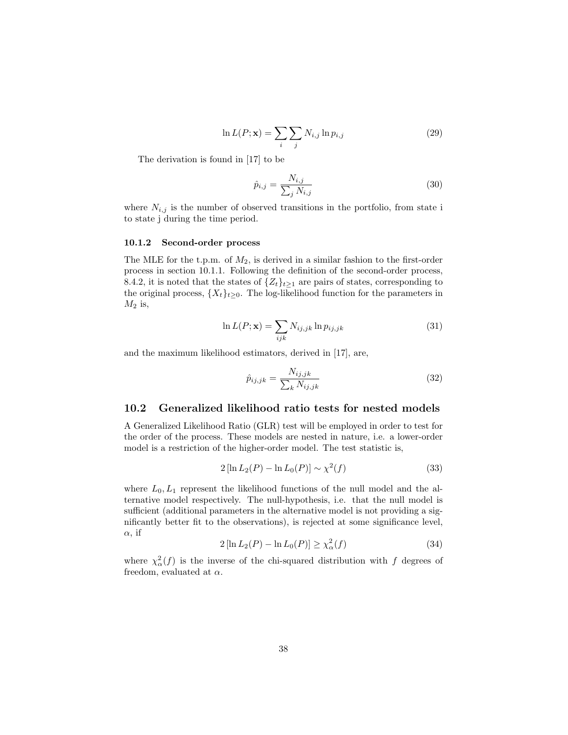$$
\ln L(P; \mathbf{x}) = \sum_{i} \sum_{j} N_{i,j} \ln p_{i,j} \tag{29}
$$

The derivation is found in [17] to be

$$
\hat{p}_{i,j} = \frac{N_{i,j}}{\sum_{j} N_{i,j}}\tag{30}
$$

where  $N_{i,j}$  is the number of observed transitions in the portfolio, from state i to state j during the time period.

#### 10.1.2 Second-order process

The MLE for the t.p.m. of  $M_2$ , is derived in a similar fashion to the first-order process in section 10.1.1. Following the definition of the second-order process, 8.4.2, it is noted that the states of  $\{Z_t\}_{t>1}$  are pairs of states, corresponding to the original process,  $\{X_t\}_{t\geq 0}$ . The log-likelihood function for the parameters in  $M_2$  is,

$$
\ln L(P; \mathbf{x}) = \sum_{ijk} N_{ij,jk} \ln p_{ij,jk}
$$
\n(31)

and the maximum likelihood estimators, derived in [17], are,

$$
\hat{p}_{ij,jk} = \frac{N_{ij,jk}}{\sum_{k} N_{ij,jk}}\tag{32}
$$

#### 10.2 Generalized likelihood ratio tests for nested models

A Generalized Likelihood Ratio (GLR) test will be employed in order to test for the order of the process. These models are nested in nature, i.e. a lower-order model is a restriction of the higher-order model. The test statistic is,

$$
2\left[\ln L_2(P) - \ln L_0(P)\right] \sim \chi^2(f) \tag{33}
$$

where  $L_0, L_1$  represent the likelihood functions of the null model and the alternative model respectively. The null-hypothesis, i.e. that the null model is sufficient (additional parameters in the alternative model is not providing a significantly better fit to the observations), is rejected at some significance level,  $\alpha$ , if

$$
2\left[\ln L_2(P) - \ln L_0(P)\right] \ge \chi_\alpha^2(f) \tag{34}
$$

where  $\chi^2_{\alpha}(f)$  is the inverse of the chi-squared distribution with f degrees of freedom, evaluated at  $\alpha$ .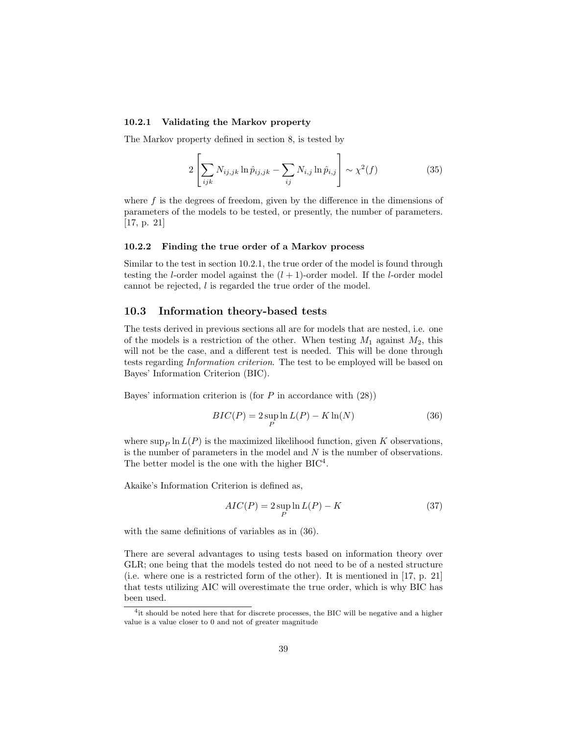#### 10.2.1 Validating the Markov property

The Markov property defined in section 8, is tested by

$$
2\left[\sum_{ijk} N_{ij,jk} \ln \hat{p}_{ij,jk} - \sum_{ij} N_{i,j} \ln \hat{p}_{i,j}\right] \sim \chi^2(f) \tag{35}
$$

where  $f$  is the degrees of freedom, given by the difference in the dimensions of parameters of the models to be tested, or presently, the number of parameters. [17, p. 21]

#### 10.2.2 Finding the true order of a Markov process

Similar to the test in section 10.2.1, the true order of the model is found through testing the *l*-order model against the  $(l + 1)$ -order model. If the *l*-order model cannot be rejected, l is regarded the true order of the model.

#### 10.3 Information theory-based tests

The tests derived in previous sections all are for models that are nested, i.e. one of the models is a restriction of the other. When testing  $M_1$  against  $M_2$ , this will not be the case, and a different test is needed. This will be done through tests regarding Information criterion. The test to be employed will be based on Bayes' Information Criterion (BIC).

Bayes' information criterion is (for  $P$  in accordance with  $(28)$ )

$$
BIC(P) = 2 \sup_{P} \ln L(P) - K \ln(N)
$$
\n(36)

where  $\sup_P \ln L(P)$  is the maximized likelihood function, given K observations, is the number of parameters in the model and  $N$  is the number of observations. The better model is the one with the higher  $BIC<sup>4</sup>$ .

Akaike's Information Criterion is defined as,

$$
AIC(P) = 2 \sup_{P} \ln L(P) - K \tag{37}
$$

with the same definitions of variables as in (36).

There are several advantages to using tests based on information theory over GLR; one being that the models tested do not need to be of a nested structure (i.e. where one is a restricted form of the other). It is mentioned in [17, p. 21] that tests utilizing AIC will overestimate the true order, which is why BIC has been used.

<sup>&</sup>lt;sup>4</sup>it should be noted here that for discrete processes, the BIC will be negative and a higher value is a value closer to 0 and not of greater magnitude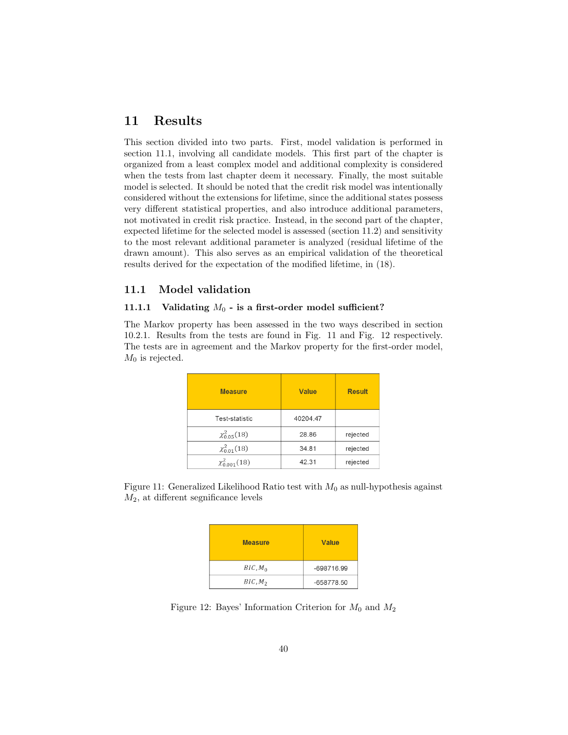## 11 Results

This section divided into two parts. First, model validation is performed in section 11.1, involving all candidate models. This first part of the chapter is organized from a least complex model and additional complexity is considered when the tests from last chapter deem it necessary. Finally, the most suitable model is selected. It should be noted that the credit risk model was intentionally considered without the extensions for lifetime, since the additional states possess very different statistical properties, and also introduce additional parameters, not motivated in credit risk practice. Instead, in the second part of the chapter, expected lifetime for the selected model is assessed (section 11.2) and sensitivity to the most relevant additional parameter is analyzed (residual lifetime of the drawn amount). This also serves as an empirical validation of the theoretical results derived for the expectation of the modified lifetime, in (18).

#### 11.1 Model validation

#### 11.1.1 Validating  $M_0$  - is a first-order model sufficient?

The Markov property has been assessed in the two ways described in section 10.2.1. Results from the tests are found in Fig. 11 and Fig. 12 respectively. The tests are in agreement and the Markov property for the first-order model,  $M_0$  is rejected.

| <b>Measure</b>       | <b>Value</b> | <b>Result</b> |
|----------------------|--------------|---------------|
| Test-statistic       | 40204.47     |               |
| $\chi_{0.05}^2(18)$  | 28.86        | rejected      |
| $\chi_{0.01}^2(18)$  | 34.81        | rejected      |
| $\chi_{0.001}^2(18)$ | 42.31        | rejected      |

Figure 11: Generalized Likelihood Ratio test with  $M_0$  as null-hypothesis against  $M_2$ , at different segnificance levels

| <b>Measure</b>      | Value      |
|---------------------|------------|
| BIC, M <sub>0</sub> | -698716.99 |
| BIC, M <sub>2</sub> | -658778.50 |

Figure 12: Bayes' Information Criterion for  $M_0$  and  $M_2$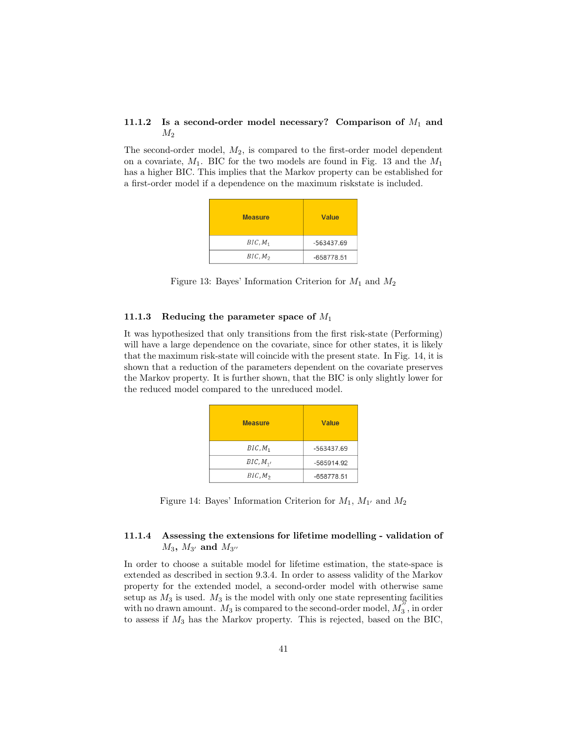#### 11.1.2 Is a second-order model necessary? Comparison of  $M_1$  and  $M_2$

The second-order model,  $M_2$ , is compared to the first-order model dependent on a covariate,  $M_1$ . BIC for the two models are found in Fig. 13 and the  $M_1$ has a higher BIC. This implies that the Markov property can be established for a first-order model if a dependence on the maximum riskstate is included.

| <b>Measure</b>      | <b>Value</b> |
|---------------------|--------------|
| $BIC, M_1$          | -563437.69   |
| BIC, M <sub>2</sub> | -658778.51   |

Figure 13: Bayes' Information Criterion for  $M_1$  and  $M_2$ 

#### 11.1.3 Reducing the parameter space of  $M_1$

It was hypothesized that only transitions from the first risk-state (Performing) will have a large dependence on the covariate, since for other states, it is likely that the maximum risk-state will coincide with the present state. In Fig. 14, it is shown that a reduction of the parameters dependent on the covariate preserves the Markov property. It is further shown, that the BIC is only slightly lower for the reduced model compared to the unreduced model.

| <b>Measure</b>      | Value        |
|---------------------|--------------|
| $BIC, M_1$          | -563437.69   |
| BIC, M <sub>1</sub> | -565914.92   |
| BIC, M <sub>2</sub> | $-658778.51$ |

Figure 14: Bayes' Information Criterion for  $M_1$ ,  $M_{1'}$  and  $M_2$ 

### 11.1.4 Assessing the extensions for lifetime modelling - validation of  $M_3$ ,  $M_{3'}$  and  $M_{3''}$

In order to choose a suitable model for lifetime estimation, the state-space is extended as described in section 9.3.4. In order to assess validity of the Markov property for the extended model, a second-order model with otherwise same setup as  $M_3$  is used.  $M_3$  is the model with only one state representing facilities with no drawn amount.  $M_3$  is compared to the second-order model,  $M_3^{\gamma}$ , in order to assess if  $M_3$  has the Markov property. This is rejected, based on the BIC,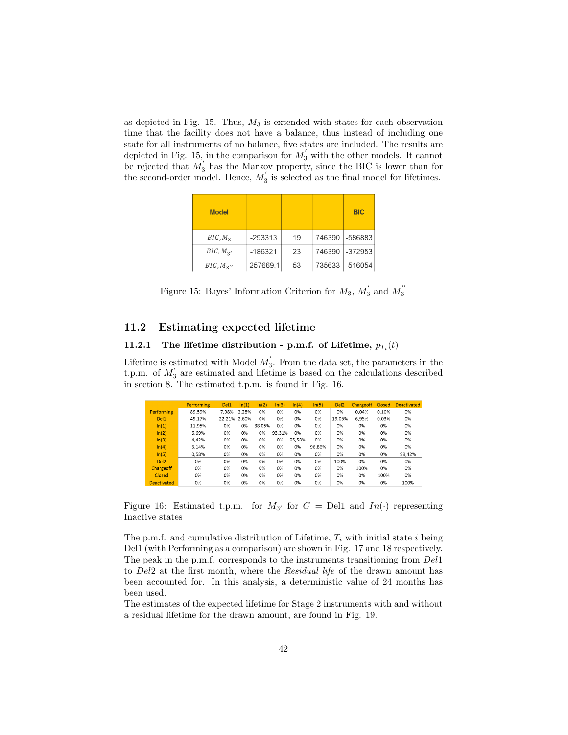as depicted in Fig. 15. Thus,  $M_3$  is extended with states for each observation time that the facility does not have a balance, thus instead of including one state for all instruments of no balance, five states are included. The results are depicted in Fig. 15, in the comparison for  $M'_{3}$  with the other models. It cannot be rejected that  $M_3$  has the Markov property, since the BIC is lower than for the second-order model. Hence,  $M'_3$  is selected as the final model for lifetimes.

| <b>Model</b>        |           |    |        | <b>BIC</b> |
|---------------------|-----------|----|--------|------------|
| BIC, M <sub>3</sub> | $-293313$ | 19 | 746390 | $-586883$  |
| $BIC, M_{2'}$       | $-186321$ | 23 | 746390 | $-372953$  |
| $BIC, M_{3}$        | -257669,1 | 53 | 735633 | $-516054$  |

Figure 15: Bayes' Information Criterion for  $M_3$ ,  $M'_3$  and  $M''_3$ 

#### 11.2 Estimating expected lifetime

#### 11.2.1 The lifetime distribution - p.m.f. of Lifetime,  $p_{T_i}(t)$

Lifetime is estimated with Model  $M'_3$ . From the data set, the parameters in the t.p.m. of  $M_3$  are estimated and lifetime is based on the calculations described in section 8. The estimated t.p.m. is found in Fig. 16.

|                    | <b>Performing</b> | Del <sub>1</sub> | ln(1) | ln(2)  | ln(3)  | ln(4)  | ln(5)  | Del <sub>2</sub> | <b>Chargeoff</b> | Closed | <b>Deactivated</b> |
|--------------------|-------------------|------------------|-------|--------|--------|--------|--------|------------------|------------------|--------|--------------------|
| <b>Performing</b>  | 89,59%            | 7.98%            | 2.28% | 0%     | 0%     | 0%     | 0%     | 0%               | 0.04%            | 0.10%  | 0%                 |
| Del <sub>1</sub>   | 49.17%            | 22.21%           | 2.60% | 0%     | 0%     | 0%     | 0%     | 19.05%           | 6.95%            | 0.03%  | 0%                 |
| ln(1)              | 11.95%            | 0%               | 0%    | 88.05% | 0%     | 0%     | 0%     | 0%               | 0%               | 0%     | 0%                 |
| ln(2)              | 6.69%             | 0%               | 0%    | 0%     | 93.31% | 0%     | 0%     | 0%               | 0%               | 0%     | 0%                 |
| ln(3)              | 4.42%             | 0%               | 0%    | 0%     | 0%     | 95.58% | 0%     | 0%               | 0%               | 0%     | 0%                 |
| ln(4)              | 3.14%             | 0%               | 0%    | 0%     | 0%     | 0%     | 96.86% | 0%               | 0%               | 0%     | 0%                 |
| ln(5)              | 0.58%             | 0%               | 0%    | 0%     | 0%     | 0%     | 0%     | 0%               | 0%               | 0%     | 99.42%             |
| Del <sub>2</sub>   | 0%                | 0%               | 0%    | 0%     | 0%     | 0%     | 0%     | 100%             | 0%               | 0%     | 0%                 |
| Chargeoff          | 0%                | 0%               | 0%    | 0%     | 0%     | 0%     | 0%     | 0%               | 100%             | 0%     | 0%                 |
| Closed             | 0%                | 0%               | 0%    | 0%     | 0%     | 0%     | 0%     | 0%               | 0%               | 100%   | 0%                 |
| <b>Deactivated</b> | 0%                | 0%               | 0%    | 0%     | 0%     | 0%     | 0%     | 0%               | 0%               | 0%     | 100%               |

Figure 16: Estimated t.p.m. for  $M_{3'}$  for  $C =$  Del1 and  $In(\cdot)$  representing Inactive states

The p.m.f. and cumulative distribution of Lifetime,  $T_i$  with initial state i being Del1 (with Performing as a comparison) are shown in Fig. 17 and 18 respectively. The peak in the p.m.f. corresponds to the instruments transitioning from Del1 to Del2 at the first month, where the Residual life of the drawn amount has been accounted for. In this analysis, a deterministic value of 24 months has been used.

The estimates of the expected lifetime for Stage 2 instruments with and without a residual lifetime for the drawn amount, are found in Fig. 19.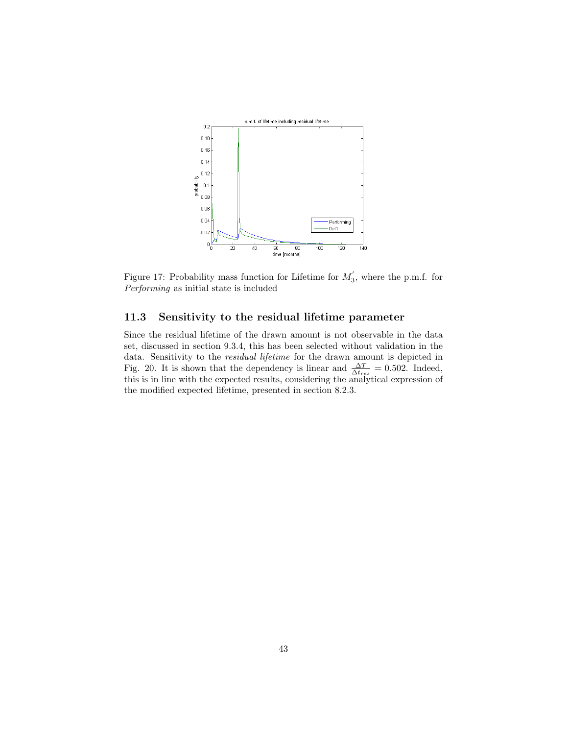

Figure 17: Probability mass function for Lifetime for  $M'_3$ , where the p.m.f. for Performing as initial state is included

### 11.3 Sensitivity to the residual lifetime parameter

Since the residual lifetime of the drawn amount is not observable in the data set, discussed in section 9.3.4, this has been selected without validation in the data. Sensitivity to the residual lifetime for the drawn amount is depicted in Fig. 20. It is shown that the dependency is linear and  $\frac{\Delta T}{\Delta t_{res}} = 0.502$ . Indeed, this is in line with the expected results, considering the analytical expression of the modified expected lifetime, presented in section 8.2.3.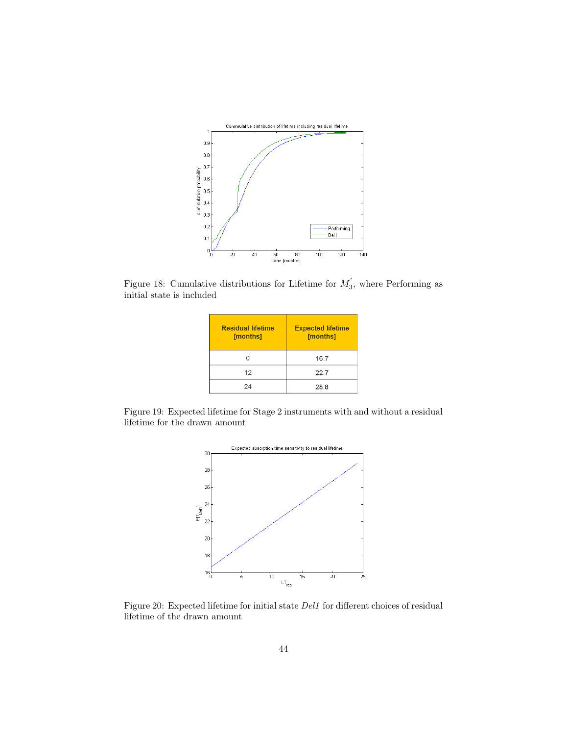

Figure 18: Cumulative distributions for Lifetime for  $M'_3$ , where Performing as initial state is included

| <b>Residual lifetime</b><br>[months] | <b>Expected lifetime</b><br>[months] |
|--------------------------------------|--------------------------------------|
|                                      | 16.7                                 |
| 12                                   | 22.7                                 |
| 24                                   | 28.8                                 |

Figure 19: Expected lifetime for Stage 2 instruments with and without a residual lifetime for the drawn amount



Figure 20: Expected lifetime for initial state Del1 for different choices of residual lifetime of the drawn amount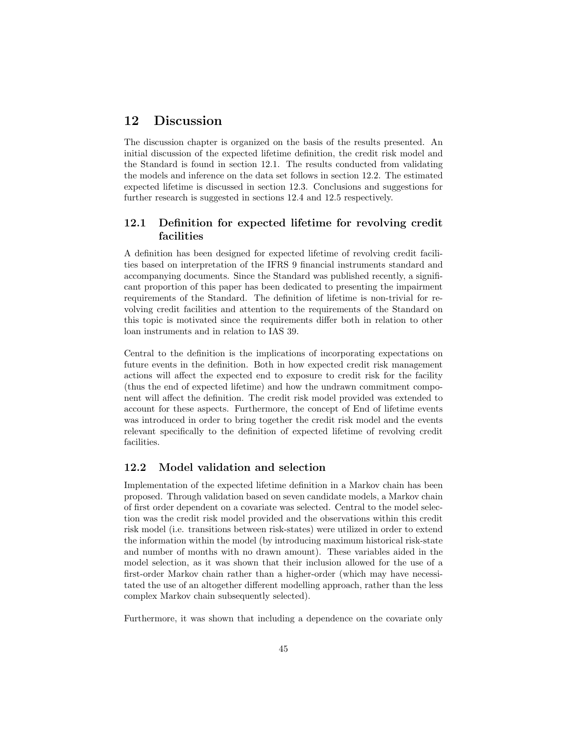## 12 Discussion

The discussion chapter is organized on the basis of the results presented. An initial discussion of the expected lifetime definition, the credit risk model and the Standard is found in section 12.1. The results conducted from validating the models and inference on the data set follows in section 12.2. The estimated expected lifetime is discussed in section 12.3. Conclusions and suggestions for further research is suggested in sections 12.4 and 12.5 respectively.

## 12.1 Definition for expected lifetime for revolving credit facilities

A definition has been designed for expected lifetime of revolving credit facilities based on interpretation of the IFRS 9 financial instruments standard and accompanying documents. Since the Standard was published recently, a significant proportion of this paper has been dedicated to presenting the impairment requirements of the Standard. The definition of lifetime is non-trivial for revolving credit facilities and attention to the requirements of the Standard on this topic is motivated since the requirements differ both in relation to other loan instruments and in relation to IAS 39.

Central to the definition is the implications of incorporating expectations on future events in the definition. Both in how expected credit risk management actions will affect the expected end to exposure to credit risk for the facility (thus the end of expected lifetime) and how the undrawn commitment component will affect the definition. The credit risk model provided was extended to account for these aspects. Furthermore, the concept of End of lifetime events was introduced in order to bring together the credit risk model and the events relevant specifically to the definition of expected lifetime of revolving credit facilities.

#### 12.2 Model validation and selection

Implementation of the expected lifetime definition in a Markov chain has been proposed. Through validation based on seven candidate models, a Markov chain of first order dependent on a covariate was selected. Central to the model selection was the credit risk model provided and the observations within this credit risk model (i.e. transitions between risk-states) were utilized in order to extend the information within the model (by introducing maximum historical risk-state and number of months with no drawn amount). These variables aided in the model selection, as it was shown that their inclusion allowed for the use of a first-order Markov chain rather than a higher-order (which may have necessitated the use of an altogether different modelling approach, rather than the less complex Markov chain subsequently selected).

Furthermore, it was shown that including a dependence on the covariate only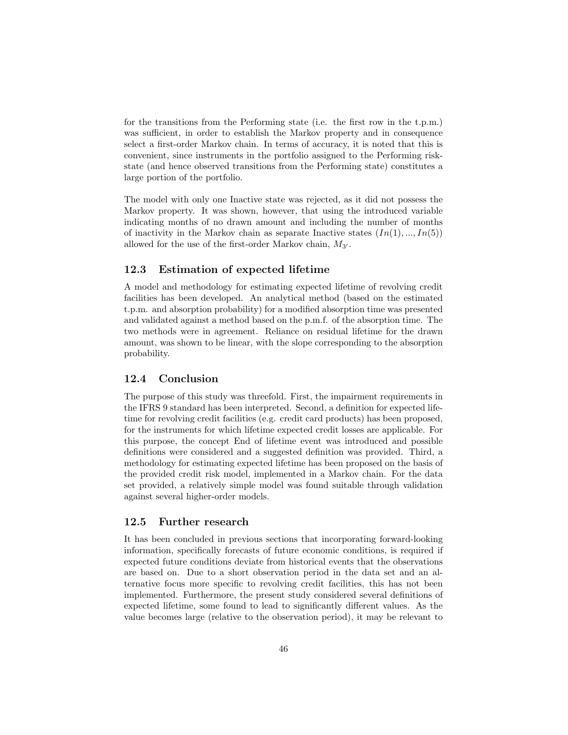for the transitions from the Performing state (i.e. the first row in the t.p.m.) was sufficient, in order to establish the Markov property and in consequence select a first-order Markov chain. In terms of accuracy, it is noted that this is convenient, since instruments in the portfolio assigned to the Performing riskstate (and hence observed transitions from the Performing state) constitutes a large portion of the portfolio.

The model with only one Inactive state was rejected, as it did not possess the Markov property. It was shown, however, that using the introduced variable indicating months of no drawn amount and including the number of months of inactivity in the Markov chain as separate Inactive states  $(In(1), ..., In(5))$ allowed for the use of the first-order Markov chain,  $M_{3'}$ .

#### 12.3 Estimation of expected lifetime

A model and methodology for estimating expected lifetime of revolving credit facilities has been developed. An analytical method (based on the estimated t.p.m. and absorption probability) for a modified absorption time was presented and validated against a method based on the p.m.f. of the absorption time. The two methods were in agreement. Reliance on residual lifetime for the drawn amount, was shown to be linear, with the slope corresponding to the absorption probability.

### 12.4 Conclusion

The purpose of this study was threefold. First, the impairment requirements in the IFRS 9 standard has been interpreted. Second, a definition for expected lifetime for revolving credit facilities (e.g. credit card products) has been proposed, for the instruments for which lifetime expected credit losses are applicable. For this purpose, the concept End of lifetime event was introduced and possible definitions were considered and a suggested definition was provided. Third, a methodology for estimating expected lifetime has been proposed on the basis of the provided credit risk model, implemented in a Markov chain. For the data set provided, a relatively simple model was found suitable through validation against several higher-order models.

#### 12.5 Further research

It has been concluded in previous sections that incorporating forward-looking information, specifically forecasts of future economic conditions, is required if expected future conditions deviate from historical events that the observations are based on. Due to a short observation period in the data set and an alternative focus more specific to revolving credit facilities, this has not been implemented. Furthermore, the present study considered several definitions of expected lifetime, some found to lead to significantly different values. As the value becomes large (relative to the observation period), it may be relevant to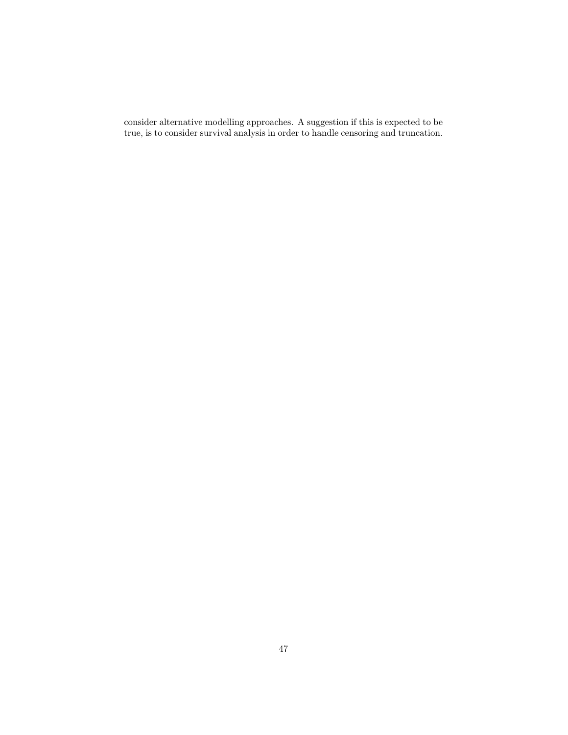consider alternative modelling approaches. A suggestion if this is expected to be true, is to consider survival analysis in order to handle censoring and truncation.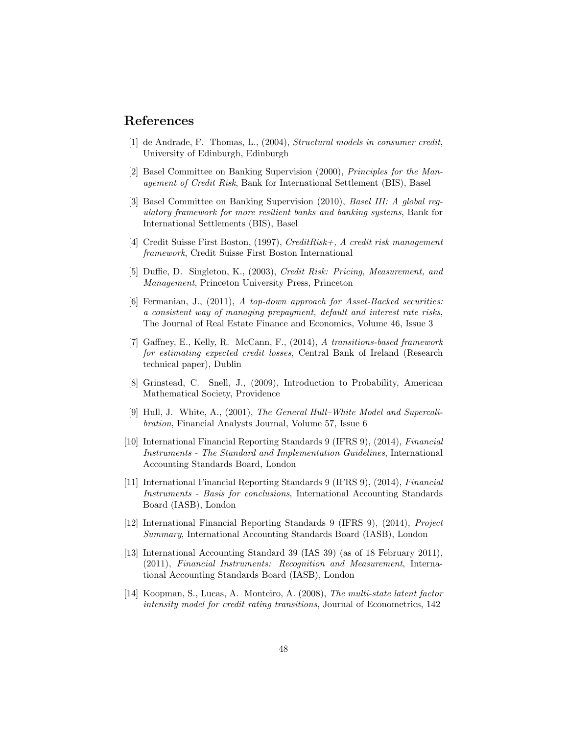## References

- [1] de Andrade, F. Thomas, L., (2004), Structural models in consumer credit, University of Edinburgh, Edinburgh
- [2] Basel Committee on Banking Supervision (2000), Principles for the Management of Credit Risk, Bank for International Settlement (BIS), Basel
- [3] Basel Committee on Banking Supervision (2010), Basel III: A global regulatory framework for more resilient banks and banking systems, Bank for International Settlements (BIS), Basel
- [4] Credit Suisse First Boston,  $(1997)$ , CreditRisk +, A credit risk management framework, Credit Suisse First Boston International
- [5] Duffie, D. Singleton, K., (2003), Credit Risk: Pricing, Measurement, and Management, Princeton University Press, Princeton
- [6] Fermanian, J., (2011), A top-down approach for Asset-Backed securities: a consistent way of managing prepayment, default and interest rate risks, The Journal of Real Estate Finance and Economics, Volume 46, Issue 3
- [7] Gaffney, E., Kelly, R. McCann, F., (2014), A transitions-based framework for estimating expected credit losses, Central Bank of Ireland (Research technical paper), Dublin
- [8] Grinstead, C. Snell, J., (2009), Introduction to Probability, American Mathematical Society, Providence
- [9] Hull, J. White, A., (2001), The General Hull–White Model and Supercalibration, Financial Analysts Journal, Volume 57, Issue 6
- [10] International Financial Reporting Standards 9 (IFRS 9), (2014), Financial Instruments - The Standard and Implementation Guidelines, International Accounting Standards Board, London
- [11] International Financial Reporting Standards 9 (IFRS 9), (2014), Financial Instruments - Basis for conclusions, International Accounting Standards Board (IASB), London
- [12] International Financial Reporting Standards 9 (IFRS 9), (2014), Project Summary, International Accounting Standards Board (IASB), London
- [13] International Accounting Standard 39 (IAS 39) (as of 18 February 2011), (2011), Financial Instruments: Recognition and Measurement, International Accounting Standards Board (IASB), London
- [14] Koopman, S., Lucas, A. Monteiro, A. (2008), The multi-state latent factor intensity model for credit rating transitions, Journal of Econometrics, 142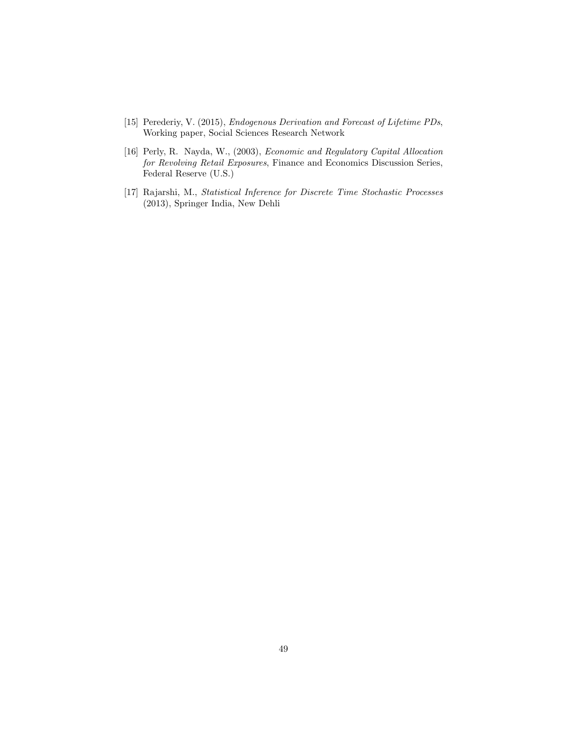- [15] Perederiy, V. (2015), Endogenous Derivation and Forecast of Lifetime PDs, Working paper, Social Sciences Research Network
- [16] Perly, R. Nayda, W., (2003), Economic and Regulatory Capital Allocation for Revolving Retail Exposures, Finance and Economics Discussion Series, Federal Reserve (U.S.)
- [17] Rajarshi, M., Statistical Inference for Discrete Time Stochastic Processes (2013), Springer India, New Dehli